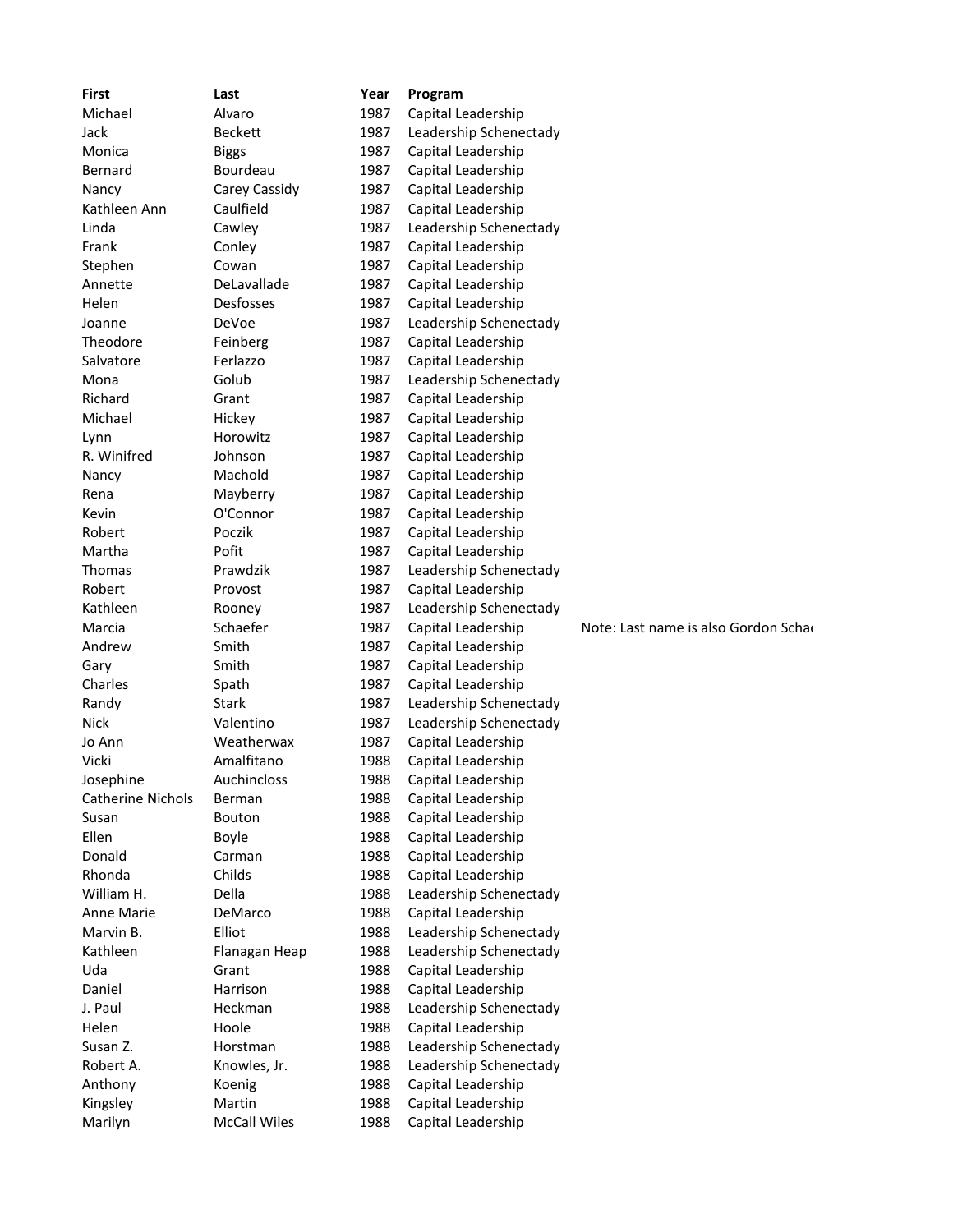| <b>First</b>             | Last                | Year         | Program                                      |                                      |
|--------------------------|---------------------|--------------|----------------------------------------------|--------------------------------------|
| Michael                  | Alvaro              | 1987         | Capital Leadership                           |                                      |
| Jack                     | <b>Beckett</b>      | 1987         | Leadership Schenectady                       |                                      |
| Monica                   | <b>Biggs</b>        | 1987         | Capital Leadership                           |                                      |
| Bernard                  | Bourdeau            | 1987         | Capital Leadership                           |                                      |
| Nancy                    | Carey Cassidy       | 1987         | Capital Leadership                           |                                      |
| Kathleen Ann             | Caulfield           | 1987         | Capital Leadership                           |                                      |
| Linda                    | Cawley              | 1987         | Leadership Schenectady                       |                                      |
| Frank                    | Conley              | 1987         | Capital Leadership                           |                                      |
| Stephen                  | Cowan               | 1987         | Capital Leadership                           |                                      |
| Annette                  | DeLavallade         | 1987         | Capital Leadership                           |                                      |
| Helen                    | Desfosses           | 1987         | Capital Leadership                           |                                      |
| Joanne                   | DeVoe               | 1987         | Leadership Schenectady                       |                                      |
| Theodore                 | Feinberg            | 1987         | Capital Leadership                           |                                      |
| Salvatore                | Ferlazzo            | 1987         | Capital Leadership                           |                                      |
| Mona                     | Golub               | 1987         | Leadership Schenectady                       |                                      |
| Richard                  | Grant               | 1987         | Capital Leadership                           |                                      |
| Michael                  | Hickey              | 1987         | Capital Leadership                           |                                      |
| Lynn                     | Horowitz            | 1987         | Capital Leadership                           |                                      |
| R. Winifred              | Johnson             | 1987         | Capital Leadership                           |                                      |
| Nancy                    | Machold             | 1987         | Capital Leadership                           |                                      |
| Rena                     | Mayberry            | 1987         | Capital Leadership                           |                                      |
| Kevin                    | O'Connor            | 1987         | Capital Leadership                           |                                      |
| Robert                   | Poczik              | 1987         | Capital Leadership                           |                                      |
| Martha                   | Pofit               | 1987         | Capital Leadership                           |                                      |
| Thomas                   | Prawdzik            | 1987         | Leadership Schenectady                       |                                      |
| Robert                   | Provost             | 1987         | Capital Leadership                           |                                      |
| Kathleen                 | Rooney              | 1987         | Leadership Schenectady                       |                                      |
| Marcia                   | Schaefer            | 1987         | Capital Leadership                           | Note: Last name is also Gordon Schar |
| Andrew                   | Smith               | 1987         | Capital Leadership                           |                                      |
| Gary                     | Smith               | 1987         | Capital Leadership                           |                                      |
| Charles                  | Spath               | 1987         | Capital Leadership                           |                                      |
| Randy                    | <b>Stark</b>        | 1987         | Leadership Schenectady                       |                                      |
| <b>Nick</b>              | Valentino           | 1987         | Leadership Schenectady                       |                                      |
| Jo Ann                   | Weatherwax          | 1987         | Capital Leadership                           |                                      |
| Vicki                    | Amalfitano          | 1988         | Capital Leadership                           |                                      |
| Josephine                | Auchincloss         | 1988         | Capital Leadership                           |                                      |
| <b>Catherine Nichols</b> | Berman              | 1988         | Capital Leadership                           |                                      |
| Susan                    | Bouton              | 1988         | Capital Leadership                           |                                      |
| Ellen                    | Boyle               | 1988         | Capital Leadership                           |                                      |
| Donald                   | Carman              | 1988         | Capital Leadership                           |                                      |
| Rhonda                   | Childs              | 1988         | Capital Leadership                           |                                      |
| William H.               | Della               | 1988         | Leadership Schenectady                       |                                      |
| Anne Marie               | DeMarco             | 1988         |                                              |                                      |
|                          |                     |              | Capital Leadership                           |                                      |
| Marvin B.<br>Kathleen    | Elliot              | 1988<br>1988 | Leadership Schenectady                       |                                      |
|                          | Flanagan Heap       |              | Leadership Schenectady<br>Capital Leadership |                                      |
| Uda                      | Grant               | 1988         |                                              |                                      |
| Daniel                   | Harrison            | 1988         | Capital Leadership                           |                                      |
| J. Paul                  | Heckman             | 1988         | Leadership Schenectady                       |                                      |
| Helen                    | Hoole               | 1988         | Capital Leadership                           |                                      |
| Susan Z.                 | Horstman            | 1988         | Leadership Schenectady                       |                                      |
| Robert A.                | Knowles, Jr.        | 1988         | Leadership Schenectady                       |                                      |
| Anthony                  | Koenig              | 1988         | Capital Leadership                           |                                      |
| Kingsley                 | Martin              | 1988         | Capital Leadership                           |                                      |
| Marilyn                  | <b>McCall Wiles</b> | 1988         | Capital Leadership                           |                                      |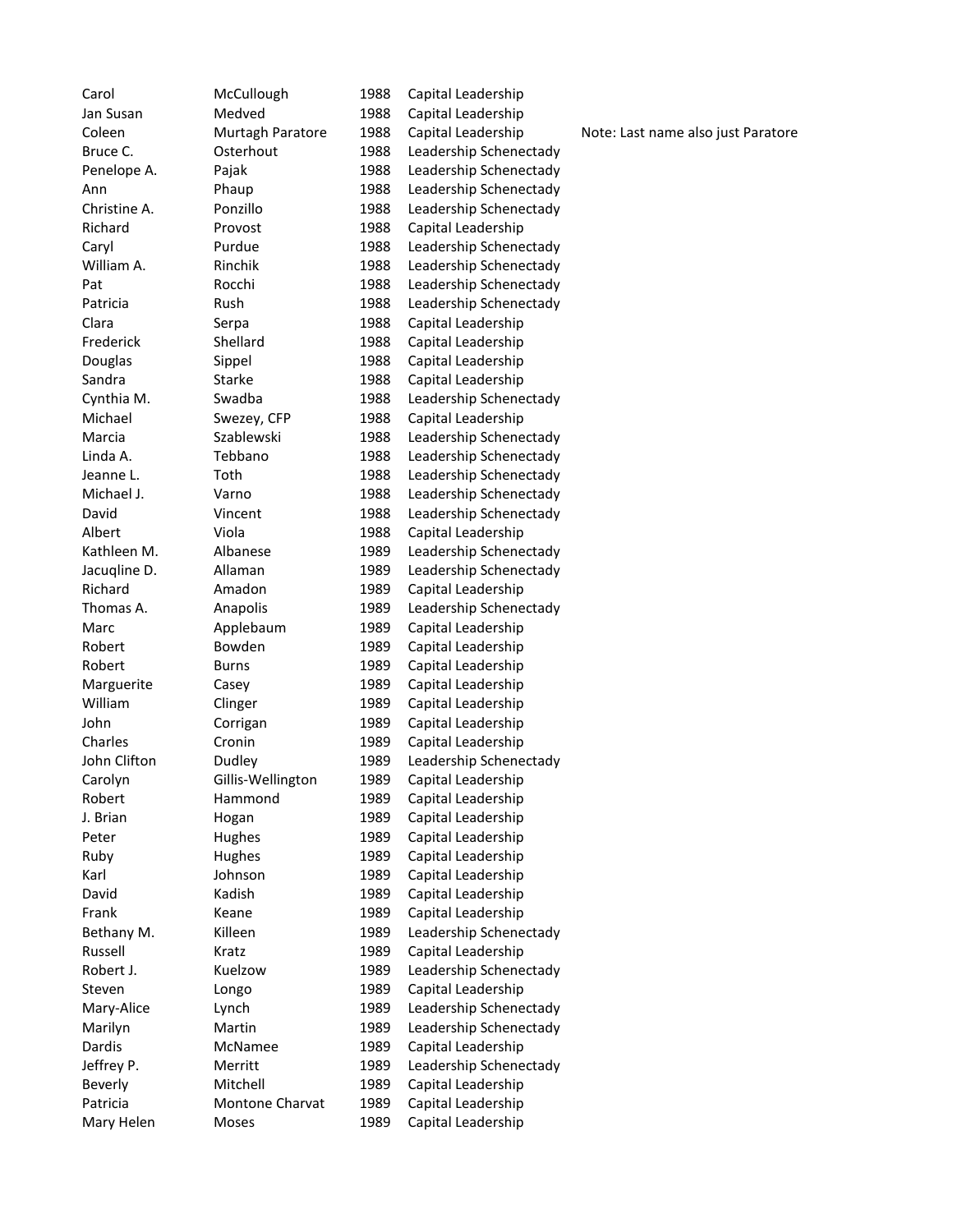Carol McCullough 1988 Capital Leadership Jan Susan Medved 1988 Capital Leadership Coleen Murtagh Paratore 1988 Capital Leadership Note: Last name also just Paratore Bruce C. Costerhout 1988 Leadership Schenectady Penelope A. Pajak 1988 Leadership Schenectady Ann Phaup 1988 Leadership Schenectady Christine A. Ponzillo 1988 Leadership Schenectady Richard Provost 1988 Capital Leadership Caryl **Purdue** 1988 Leadership Schenectady William A. **Rinchik** 1988 Leadership Schenectady Pat Rocchi 1988 Leadership Schenectady Patricia Rush 1988 Leadership Schenectady Clara Serpa 1988 Capital Leadership Frederick Shellard 1988 Capital Leadership Douglas Sippel 1988 Capital Leadership Sandra Starke 1988 Capital Leadership Cynthia M. Swadba 1988 Leadership Schenectady Michael Swezey, CFP 1988 Capital Leadership Marcia Szablewski 1988 Leadership Schenectady Linda A. Tebbano 1988 Leadership Schenectady Jeanne L. Toth 1988 Leadership Schenectady Michael J. **Varno 1988** Leadership Schenectady David Vincent 1988 Leadership Schenectady Albert Viola 1988 Capital Leadership Kathleen M. Albanese 1989 Leadership Schenectady Jacuqline D. Allaman 1989 Leadership Schenectady Richard **Amadon** 1989 Capital Leadership Thomas A. **Anapolis** 1989 Leadership Schenectady Marc **Applebaum** 1989 Capital Leadership Robert Bowden 1989 Capital Leadership Robert Burns 1989 Capital Leadership Marguerite Casey 1989 Capital Leadership William Clinger 1989 Capital Leadership John Corrigan 1989 Capital Leadership Charles Cronin 1989 Capital Leadership John Clifton Dudley 1989 Leadership Schenectady Carolyn Gillis-Wellington 1989 Capital Leadership Robert Hammond 1989 Capital Leadership J. Brian Hogan 1989 Capital Leadership Peter Hughes 1989 Capital Leadership Ruby Hughes 1989 Capital Leadership Karl **Information** Johnson 1989 Capital Leadership David Kadish 1989 Capital Leadership Frank Keane 1989 Capital Leadership Bethany M. Killeen 1989 Leadership Schenectady Russell Kratz 1989 Capital Leadership Robert J. Kuelzow 1989 Leadership Schenectady Steven Longo 1989 Capital Leadership Mary-Alice Lynch 1989 Leadership Schenectady Marilyn Martin 1989 Leadership Schenectady Dardis McNamee 1989 Capital Leadership Jeffrey P. Merritt 1989 Leadership Schenectady Beverly Mitchell 1989 Capital Leadership Patricia Montone Charvat 1989 Capital Leadership Mary Helen Moses 1989 Capital Leadership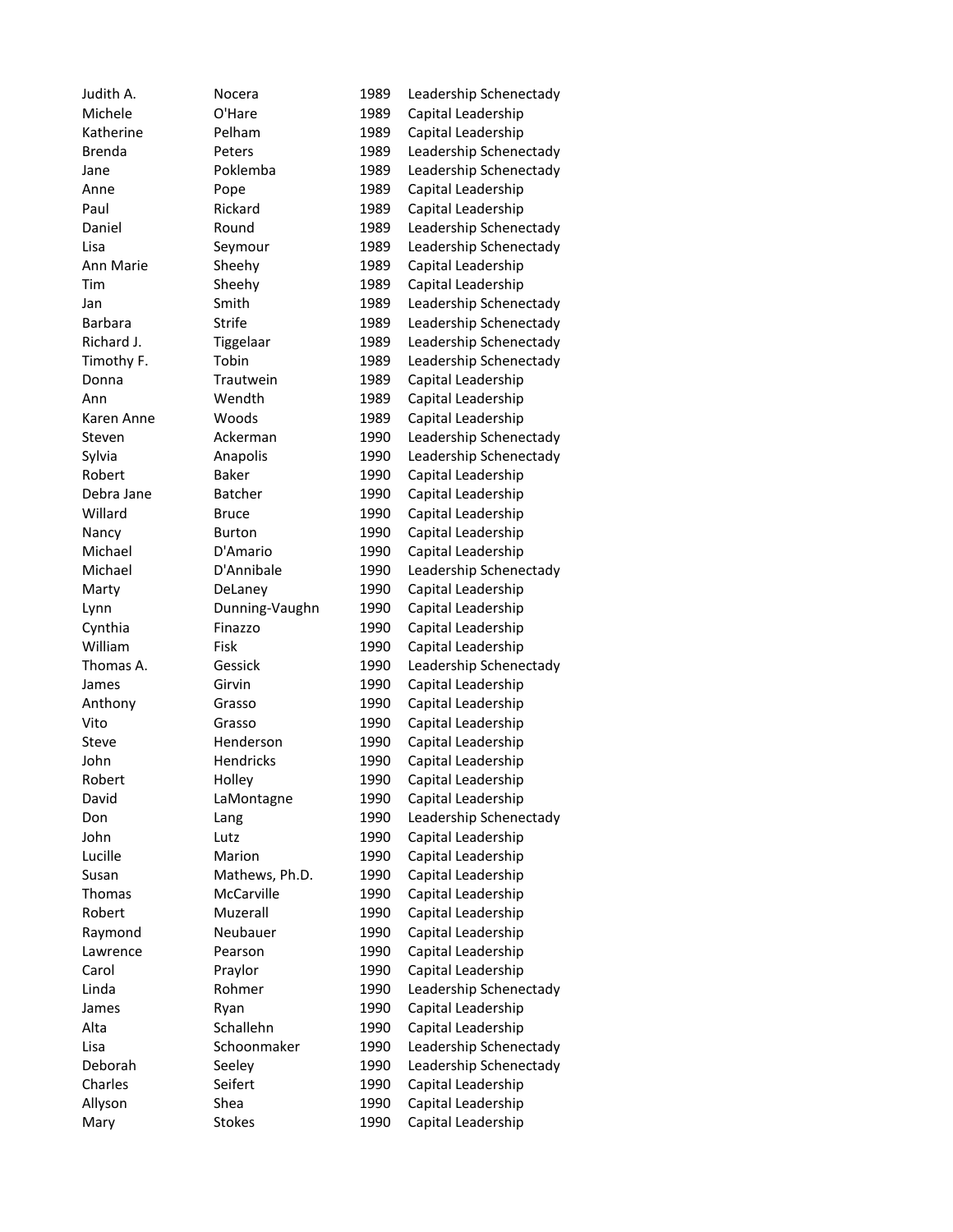Judith A. Nocera 1989 Leadership Schenectady Michele O'Hare 1989 Capital Leadership Katherine Pelham 1989 Capital Leadership Brenda Peters 1989 Leadership Schenectady Jane Poklemba 1989 Leadership Schenectady Anne Pope 1989 Capital Leadership Paul Rickard 1989 Capital Leadership Daniel Round 1989 Leadership Schenectady Lisa Seymour 1989 Leadership Schenectady Ann Marie Sheehy 1989 Capital Leadership Tim Sheehy 1989 Capital Leadership Jan Smith 1989 Leadership Schenectady Barbara Strife 1989 Leadership Schenectady Richard J. Tiggelaar 1989 Leadership Schenectady Timothy F. Tobin 1989 Leadership Schenectady Donna Trautwein 1989 Capital Leadership Ann Wendth 1989 Capital Leadership Karen Anne Woods 1989 Capital Leadership Steven Ackerman 1990 Leadership Schenectady Sylvia **Anapolis** 1990 Leadership Schenectady Robert Baker 1990 Capital Leadership Debra Jane Batcher 1990 Capital Leadership Willard Bruce 1990 Capital Leadership Nancy Burton 1990 Capital Leadership Michael D'Amario 1990 Capital Leadership Michael D'Annibale 1990 Leadership Schenectady Marty **DeLaney** 1990 Capital Leadership Lynn Dunning-Vaughn 1990 Capital Leadership Cynthia Finazzo 1990 Capital Leadership William Fisk 1990 Capital Leadership Thomas A. Gessick 1990 Leadership Schenectady James Girvin 1990 Capital Leadership Anthony Grasso 1990 Capital Leadership Vito Grasso 1990 Capital Leadership Steve Henderson 1990 Capital Leadership John Hendricks 1990 Capital Leadership Robert Holley 1990 Capital Leadership David LaMontagne 1990 Capital Leadership Don Lang Lang 1990 Leadership Schenectady John Lutz 1990 Capital Leadership Marion 1990 Capital Leadership Susan Mathews, Ph.D. 1990 Capital Leadership Thomas McCarville 1990 Capital Leadership Robert Muzerall 1990 Capital Leadership Raymond Neubauer 1990 Capital Leadership Lawrence Pearson 1990 Capital Leadership Carol Praylor 1990 Capital Leadership Linda Rohmer 1990 Leadership Schenectady James Ryan 1990 Capital Leadership Alta Schallehn 1990 Capital Leadership Lisa Schoonmaker 1990 Leadership Schenectady Deborah Seeley 1990 Leadership Schenectady Charles Seifert 1990 Capital Leadership Allyson Shea 1990 Capital Leadership Mary Stokes 1990 Capital Leadership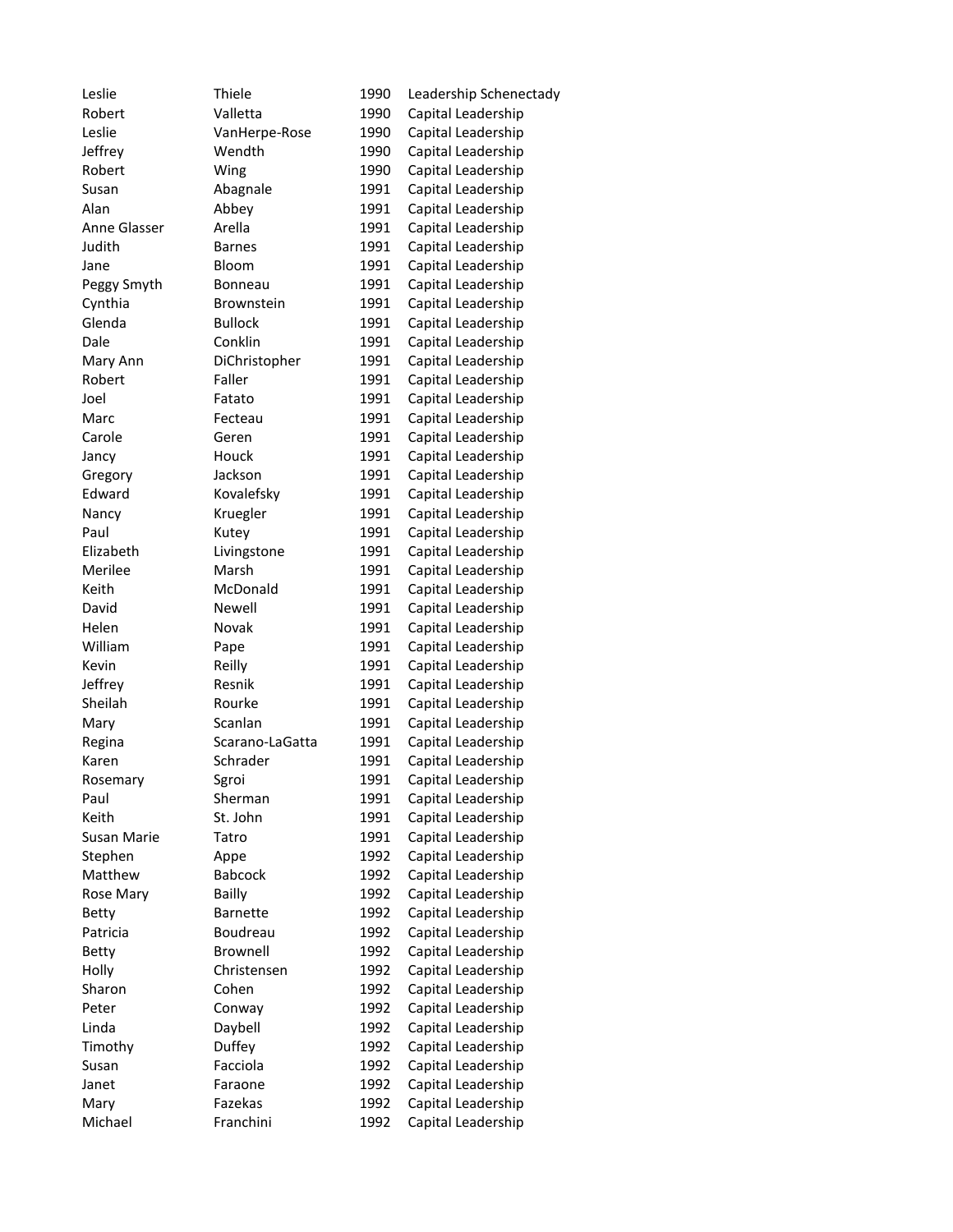| Leslie       | Thiele          | 1990 | Leadership Schenectady |
|--------------|-----------------|------|------------------------|
| Robert       | Valletta        | 1990 | Capital Leadership     |
| Leslie       | VanHerpe-Rose   | 1990 | Capital Leadership     |
| Jeffrey      | Wendth          | 1990 | Capital Leadership     |
| Robert       | Wing            | 1990 | Capital Leadership     |
| Susan        | Abagnale        | 1991 | Capital Leadership     |
| Alan         | Abbey           | 1991 | Capital Leadership     |
| Anne Glasser | Arella          | 1991 | Capital Leadership     |
| Judith       | <b>Barnes</b>   | 1991 | Capital Leadership     |
| Jane         | Bloom           | 1991 | Capital Leadership     |
| Peggy Smyth  | Bonneau         | 1991 | Capital Leadership     |
| Cynthia      | Brownstein      | 1991 | Capital Leadership     |
| Glenda       | <b>Bullock</b>  | 1991 | Capital Leadership     |
| Dale         | Conklin         | 1991 | Capital Leadership     |
| Mary Ann     | DiChristopher   | 1991 | Capital Leadership     |
| Robert       | Faller          | 1991 | Capital Leadership     |
| Joel         | Fatato          | 1991 | Capital Leadership     |
| Marc         | Fecteau         | 1991 | Capital Leadership     |
| Carole       | Geren           | 1991 | Capital Leadership     |
| Jancy        | Houck           | 1991 | Capital Leadership     |
| Gregory      | Jackson         | 1991 | Capital Leadership     |
| Edward       | Kovalefsky      | 1991 | Capital Leadership     |
| Nancy        | Kruegler        | 1991 | Capital Leadership     |
| Paul         | Kutey           | 1991 | Capital Leadership     |
| Elizabeth    | Livingstone     | 1991 | Capital Leadership     |
| Merilee      | Marsh           | 1991 | Capital Leadership     |
| Keith        | McDonald        | 1991 | Capital Leadership     |
| David        | Newell          | 1991 | Capital Leadership     |
| Helen        | Novak           | 1991 | Capital Leadership     |
| William      | Pape            | 1991 | Capital Leadership     |
| Kevin        | Reilly          | 1991 | Capital Leadership     |
| Jeffrey      | Resnik          | 1991 | Capital Leadership     |
| Sheilah      | Rourke          | 1991 | Capital Leadership     |
| Mary         | Scanlan         | 1991 | Capital Leadership     |
| Regina       | Scarano-LaGatta | 1991 | Capital Leadership     |
| Karen        | Schrader        | 1991 |                        |
|              |                 | 1991 | Capital Leadership     |
| Rosemary     | Sgroi           |      | Capital Leadership     |
| Paul         | Sherman         | 1991 | Capital Leadership     |
| Keith        | St. John        | 1991 | Capital Leadership     |
| Susan Marie  | Tatro           | 1991 | Capital Leadership     |
| Stephen      | Appe            | 1992 | Capital Leadership     |
| Matthew      | <b>Babcock</b>  | 1992 | Capital Leadership     |
| Rose Mary    | Bailly          | 1992 | Capital Leadership     |
| Betty        | <b>Barnette</b> | 1992 | Capital Leadership     |
| Patricia     | Boudreau        | 1992 | Capital Leadership     |
| <b>Betty</b> | <b>Brownell</b> | 1992 | Capital Leadership     |
| Holly        | Christensen     | 1992 | Capital Leadership     |
| Sharon       | Cohen           | 1992 | Capital Leadership     |
| Peter        | Conway          | 1992 | Capital Leadership     |
| Linda        | Daybell         | 1992 | Capital Leadership     |
| Timothy      | Duffey          | 1992 | Capital Leadership     |
| Susan        | Facciola        | 1992 | Capital Leadership     |
| Janet        | Faraone         | 1992 | Capital Leadership     |
| Mary         | Fazekas         | 1992 | Capital Leadership     |
| Michael      | Franchini       | 1992 | Capital Leadership     |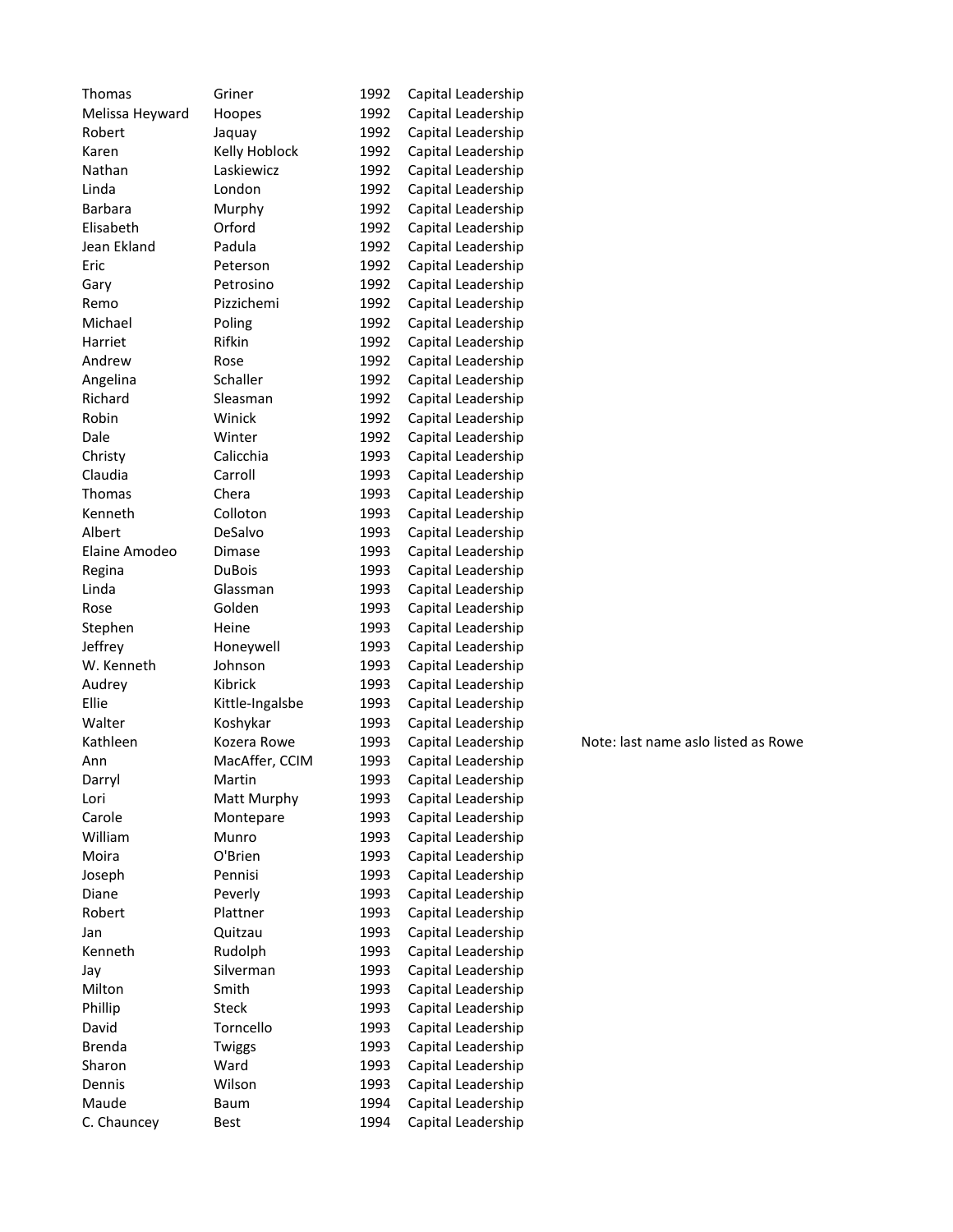| Thomas          | Griner               | 1992         | Capital Leadership                       |
|-----------------|----------------------|--------------|------------------------------------------|
| Melissa Heyward | Hoopes               | 1992         | Capital Leadership                       |
| Robert          | Jaquay               | 1992         | Capital Leadership                       |
| Karen           | Kelly Hoblock        | 1992         | Capital Leadership                       |
| Nathan          | Laskiewicz           | 1992         | Capital Leadership                       |
| Linda           | London               | 1992         | Capital Leadership                       |
| <b>Barbara</b>  | Murphy               | 1992         | Capital Leadership                       |
| Elisabeth       | Orford               | 1992         | Capital Leadership                       |
| Jean Ekland     | Padula               | 1992         | Capital Leadership                       |
| Eric            | Peterson             | 1992         | Capital Leadership                       |
| Gary            | Petrosino            | 1992         | Capital Leadership                       |
| Remo            | Pizzichemi           | 1992         | Capital Leadership                       |
| Michael         | Poling               | 1992         | Capital Leadership                       |
| Harriet         | Rifkin               | 1992         | Capital Leadership                       |
| Andrew          | Rose                 | 1992         | Capital Leadership                       |
| Angelina        | Schaller             | 1992         | Capital Leadership                       |
| Richard         | Sleasman             | 1992         | Capital Leadership                       |
| Robin           | Winick               | 1992         | Capital Leadership                       |
| Dale            | Winter               | 1992         | Capital Leadership                       |
| Christy         | Calicchia            | 1993         | Capital Leadership                       |
| Claudia         | Carroll              | 1993         | Capital Leadership                       |
| <b>Thomas</b>   | Chera                | 1993         | Capital Leadership                       |
| Kenneth         | Colloton             | 1993         | Capital Leadership                       |
| Albert          | DeSalvo              | 1993         | Capital Leadership                       |
| Elaine Amodeo   | Dimase               | 1993         | Capital Leadership                       |
| Regina          | <b>DuBois</b>        | 1993         | Capital Leadership                       |
| Linda           | Glassman             | 1993         | Capital Leadership                       |
| Rose            | Golden               | 1993         | Capital Leadership                       |
| Stephen         | Heine                | 1993         | Capital Leadership                       |
| Jeffrey         | Honeywell            | 1993         | Capital Leadership                       |
| W. Kenneth      | Johnson              | 1993         | Capital Leadership                       |
| Audrey          | Kibrick              | 1993         | Capital Leadership                       |
| Ellie           | Kittle-Ingalsbe      | 1993         | Capital Leadership                       |
| Walter          | Koshykar             | 1993         | Capital Leadership                       |
| Kathleen        | Kozera Rowe          | 1993         | Capital Leadership                       |
| Ann             | MacAffer, CCIM       | 1993         | Capital Leadership                       |
| Darryl          | Martin               | 1993         | Capital Leadership                       |
| Lori            | Matt Murphy          | 1993         | Capital Leadership                       |
| Carole          | Montepare            | 1993         | Capital Leadership                       |
| William         | Munro                | 1993         | Capital Leadership                       |
| Moira           | O'Brien              | 1993         | Capital Leadership                       |
| Joseph          | Pennisi              | 1993         | Capital Leadership                       |
| Diane           | Peverly              | 1993         | Capital Leadership                       |
| Robert          | Plattner             |              |                                          |
|                 |                      | 1993<br>1993 | Capital Leadership<br>Capital Leadership |
| Jan<br>Kenneth  | Quitzau              |              |                                          |
|                 | Rudolph<br>Silverman | 1993         | Capital Leadership                       |
| Jay             |                      | 1993         | Capital Leadership                       |
| Milton          | Smith                | 1993         | Capital Leadership                       |
| Phillip         | <b>Steck</b>         | 1993         | Capital Leadership                       |
| David           | Torncello            | 1993         | Capital Leadership                       |
| <b>Brenda</b>   | Twiggs               | 1993         | Capital Leadership                       |
| Sharon          | Ward                 | 1993         | Capital Leadership                       |
| Dennis          | Wilson               | 1993         | Capital Leadership                       |
| Maude           | Baum                 | 1994         | Capital Leadership                       |
| C. Chauncey     | <b>Best</b>          | 1994         | Capital Leadership                       |

Note: last name aslo listed as Rowe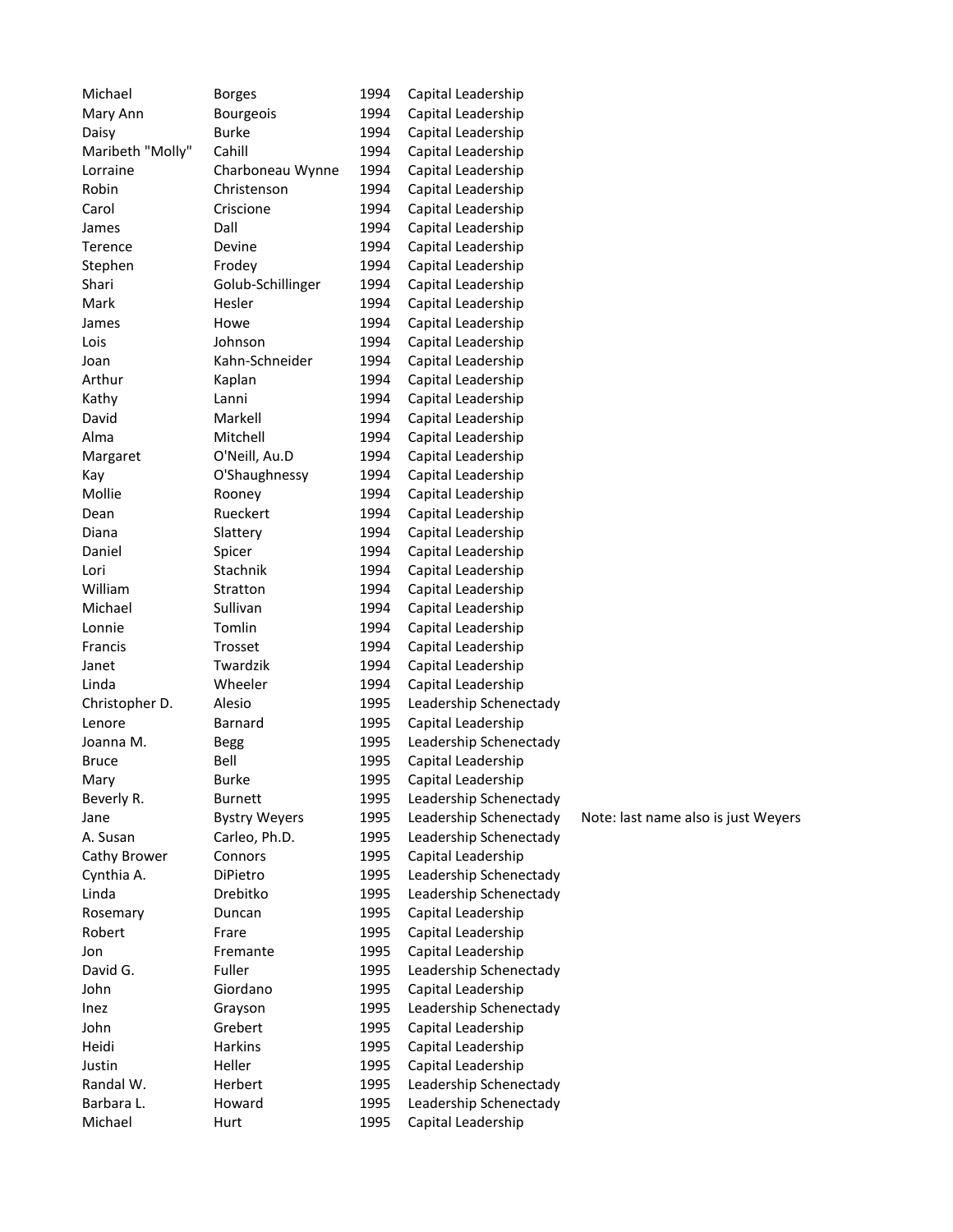| Michael          | <b>Borges</b>        | 1994         | Capital Leadership                       |                                     |
|------------------|----------------------|--------------|------------------------------------------|-------------------------------------|
| Mary Ann         | <b>Bourgeois</b>     | 1994         | Capital Leadership                       |                                     |
| Daisy            | <b>Burke</b>         | 1994         | Capital Leadership                       |                                     |
| Maribeth "Molly" | Cahill               | 1994         | Capital Leadership                       |                                     |
| Lorraine         | Charboneau Wynne     | 1994         | Capital Leadership                       |                                     |
| Robin            | Christenson          | 1994         | Capital Leadership                       |                                     |
| Carol            | Criscione            | 1994         | Capital Leadership                       |                                     |
| James            | Dall                 | 1994         | Capital Leadership                       |                                     |
| Terence          | Devine               | 1994         | Capital Leadership                       |                                     |
| Stephen          | Frodey               | 1994         | Capital Leadership                       |                                     |
| Shari            | Golub-Schillinger    | 1994         | Capital Leadership                       |                                     |
| Mark             | Hesler               | 1994         | Capital Leadership                       |                                     |
| James            | Howe                 | 1994         | Capital Leadership                       |                                     |
| Lois             | Johnson              | 1994         | Capital Leadership                       |                                     |
| Joan             | Kahn-Schneider       | 1994         | Capital Leadership                       |                                     |
| Arthur           | Kaplan               | 1994         | Capital Leadership                       |                                     |
| Kathy            | Lanni                | 1994         | Capital Leadership                       |                                     |
| David            | Markell              | 1994         | Capital Leadership                       |                                     |
| Alma             | Mitchell             | 1994         | Capital Leadership                       |                                     |
| Margaret         | O'Neill, Au.D        | 1994         | Capital Leadership                       |                                     |
| Kay              | O'Shaughnessy        | 1994         | Capital Leadership                       |                                     |
| Mollie           | Rooney               | 1994         | Capital Leadership                       |                                     |
| Dean             | Rueckert             | 1994         | Capital Leadership                       |                                     |
| Diana            | Slattery             | 1994         | Capital Leadership                       |                                     |
| Daniel           | Spicer               | 1994         | Capital Leadership                       |                                     |
| Lori             | Stachnik             | 1994         | Capital Leadership                       |                                     |
| William          | Stratton             | 1994         | Capital Leadership                       |                                     |
| Michael          | Sullivan             | 1994         | Capital Leadership                       |                                     |
| Lonnie           | Tomlin               | 1994         | Capital Leadership                       |                                     |
| Francis          | Trosset              | 1994         | Capital Leadership                       |                                     |
| Janet            | Twardzik             | 1994         | Capital Leadership                       |                                     |
| Linda            | Wheeler              | 1994         | Capital Leadership                       |                                     |
| Christopher D.   | Alesio               | 1995         | Leadership Schenectady                   |                                     |
| Lenore           | Barnard              | 1995         | Capital Leadership                       |                                     |
| Joanna M.        | <b>Begg</b>          | 1995         | Leadership Schenectady                   |                                     |
| <b>Bruce</b>     | Bell                 | 1995         | Capital Leadership                       |                                     |
| Mary             | <b>Burke</b>         | 1995         | Capital Leadership                       |                                     |
| Beverly R.       | Burnett              | 1995         | Leadership Schenectady                   |                                     |
| Jane             | <b>Bystry Weyers</b> | 1995         | Leadership Schenectady                   | Note: last name also is just Weyers |
| A. Susan         | Carleo, Ph.D.        | 1995         | Leadership Schenectady                   |                                     |
| Cathy Brower     | Connors              | 1995         | Capital Leadership                       |                                     |
| Cynthia A.       | DiPietro             | 1995         | Leadership Schenectady                   |                                     |
| Linda            | Drebitko             | 1995         | Leadership Schenectady                   |                                     |
| Rosemary         | Duncan               | 1995         | Capital Leadership                       |                                     |
| Robert           | Frare                | 1995         | Capital Leadership                       |                                     |
| Jon              | Fremante             | 1995         | Capital Leadership                       |                                     |
| David G.         | Fuller               | 1995         | Leadership Schenectady                   |                                     |
| John             | Giordano             | 1995         | Capital Leadership                       |                                     |
| Inez             | Grayson              | 1995         | Leadership Schenectady                   |                                     |
|                  | Grebert              | 1995         |                                          |                                     |
| John<br>Heidi    | <b>Harkins</b>       | 1995         | Capital Leadership<br>Capital Leadership |                                     |
| Justin           | Heller               | 1995         | Capital Leadership                       |                                     |
| Randal W.        | Herbert              |              | Leadership Schenectady                   |                                     |
| Barbara L.       | Howard               | 1995<br>1995 | Leadership Schenectady                   |                                     |
|                  |                      |              |                                          |                                     |
| Michael          | Hurt                 | 1995         | Capital Leadership                       |                                     |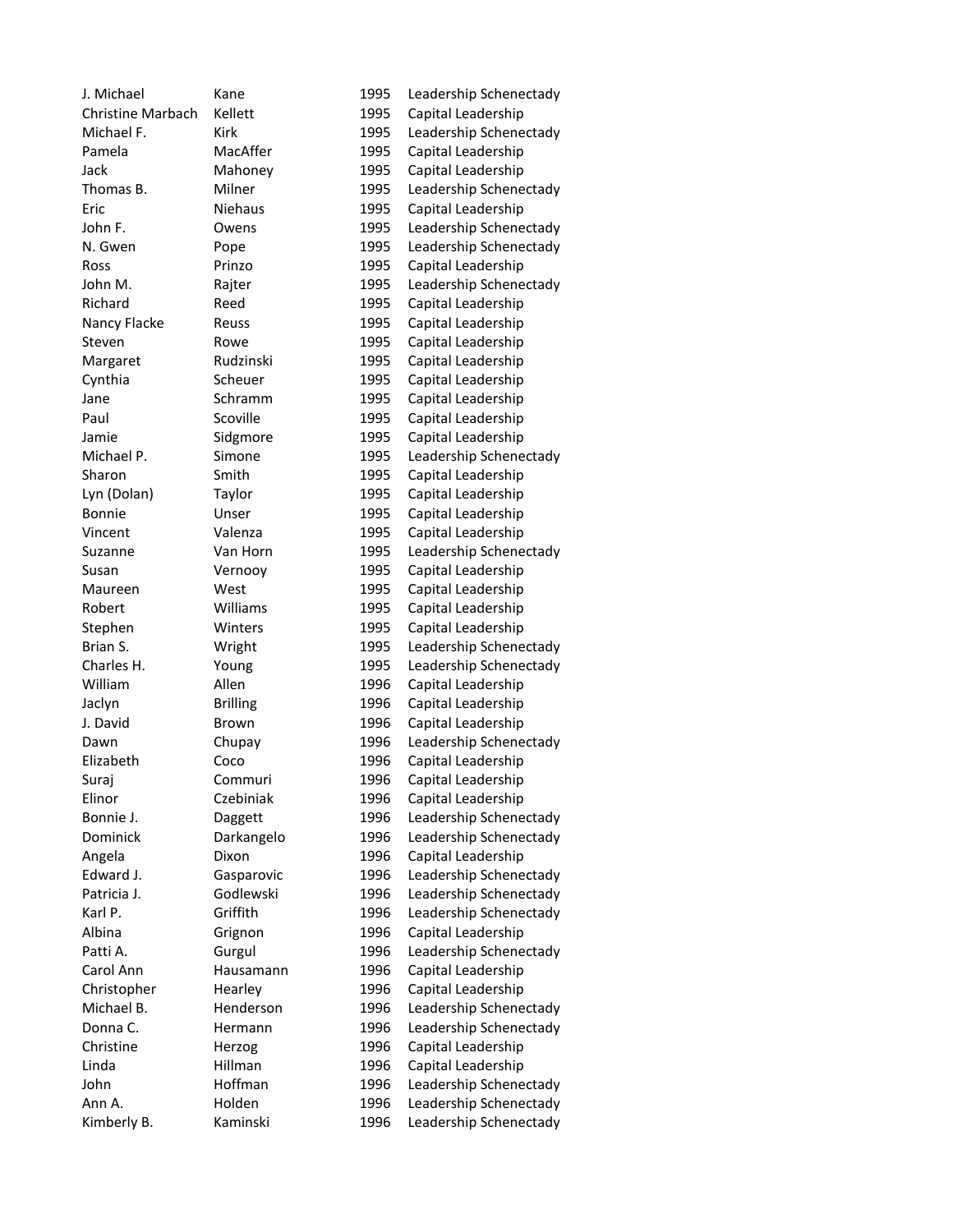| J. Michael               | Kane            | 1995 | Leadership Schenectady |
|--------------------------|-----------------|------|------------------------|
| <b>Christine Marbach</b> | Kellett         | 1995 | Capital Leadership     |
| Michael F.               | Kirk            | 1995 | Leadership Schenectady |
| Pamela                   | MacAffer        | 1995 | Capital Leadership     |
| Jack                     | Mahoney         | 1995 | Capital Leadership     |
| Thomas B.                | Milner          | 1995 | Leadership Schenectady |
| Eric                     | <b>Niehaus</b>  | 1995 | Capital Leadership     |
| John F.                  | Owens           | 1995 | Leadership Schenectady |
| N. Gwen                  | Pope            | 1995 | Leadership Schenectady |
| Ross                     | Prinzo          | 1995 | Capital Leadership     |
| John M.                  | Rajter          | 1995 | Leadership Schenectady |
| Richard                  | Reed            | 1995 | Capital Leadership     |
| Nancy Flacke             | Reuss           | 1995 | Capital Leadership     |
| Steven                   | Rowe            | 1995 | Capital Leadership     |
| Margaret                 | Rudzinski       | 1995 | Capital Leadership     |
| Cynthia                  | Scheuer         | 1995 | Capital Leadership     |
| Jane                     | Schramm         | 1995 | Capital Leadership     |
| Paul                     | Scoville        | 1995 | Capital Leadership     |
| Jamie                    | Sidgmore        | 1995 | Capital Leadership     |
| Michael P.               | Simone          | 1995 | Leadership Schenectady |
| Sharon                   | Smith           | 1995 | Capital Leadership     |
| Lyn (Dolan)              | Taylor          | 1995 | Capital Leadership     |
| Bonnie                   | Unser           | 1995 | Capital Leadership     |
| Vincent                  | Valenza         | 1995 | Capital Leadership     |
| Suzanne                  | Van Horn        | 1995 | Leadership Schenectady |
| Susan                    | Vernooy         | 1995 | Capital Leadership     |
| Maureen                  | West            | 1995 | Capital Leadership     |
| Robert                   | Williams        | 1995 | Capital Leadership     |
| Stephen                  | Winters         | 1995 | Capital Leadership     |
| Brian S.                 | Wright          | 1995 | Leadership Schenectady |
| Charles H.               | Young           | 1995 | Leadership Schenectady |
| William                  | Allen           | 1996 | Capital Leadership     |
| Jaclyn                   | <b>Brilling</b> | 1996 | Capital Leadership     |
| J. David                 | Brown           | 1996 | Capital Leadership     |
| Dawn                     | Chupay          | 1996 | Leadership Schenectady |
| Elizabeth                | Coco            | 1996 | Capital Leadership     |
| Surai                    | Commuri         | 1996 | Capital Leadership     |
| Elinor                   | Czebiniak       | 1996 | Capital Leadership     |
| Bonnie J.                | Daggett         | 1996 | Leadership Schenectady |
| Dominick                 | Darkangelo      | 1996 | Leadership Schenectady |
| Angela                   | Dixon           | 1996 | Capital Leadership     |
| Edward J.                | Gasparovic      | 1996 | Leadership Schenectady |
| Patricia J.              | Godlewski       | 1996 | Leadership Schenectady |
| Karl P.                  | Griffith        | 1996 | Leadership Schenectady |
| Albina                   | Grignon         | 1996 | Capital Leadership     |
| Patti A.                 | Gurgul          | 1996 | Leadership Schenectady |
| Carol Ann                | Hausamann       | 1996 | Capital Leadership     |
| Christopher              | Hearley         | 1996 | Capital Leadership     |
| Michael B.               | Henderson       | 1996 | Leadership Schenectady |
| Donna C.                 | Hermann         | 1996 | Leadership Schenectady |
| Christine                | Herzog          | 1996 | Capital Leadership     |
| Linda                    | Hillman         | 1996 | Capital Leadership     |
| John                     | Hoffman         | 1996 | Leadership Schenectady |
| Ann A.                   | Holden          | 1996 | Leadership Schenectady |
|                          | Kaminski        |      |                        |
| Kimberly B.              |                 | 1996 | Leadership Schenectady |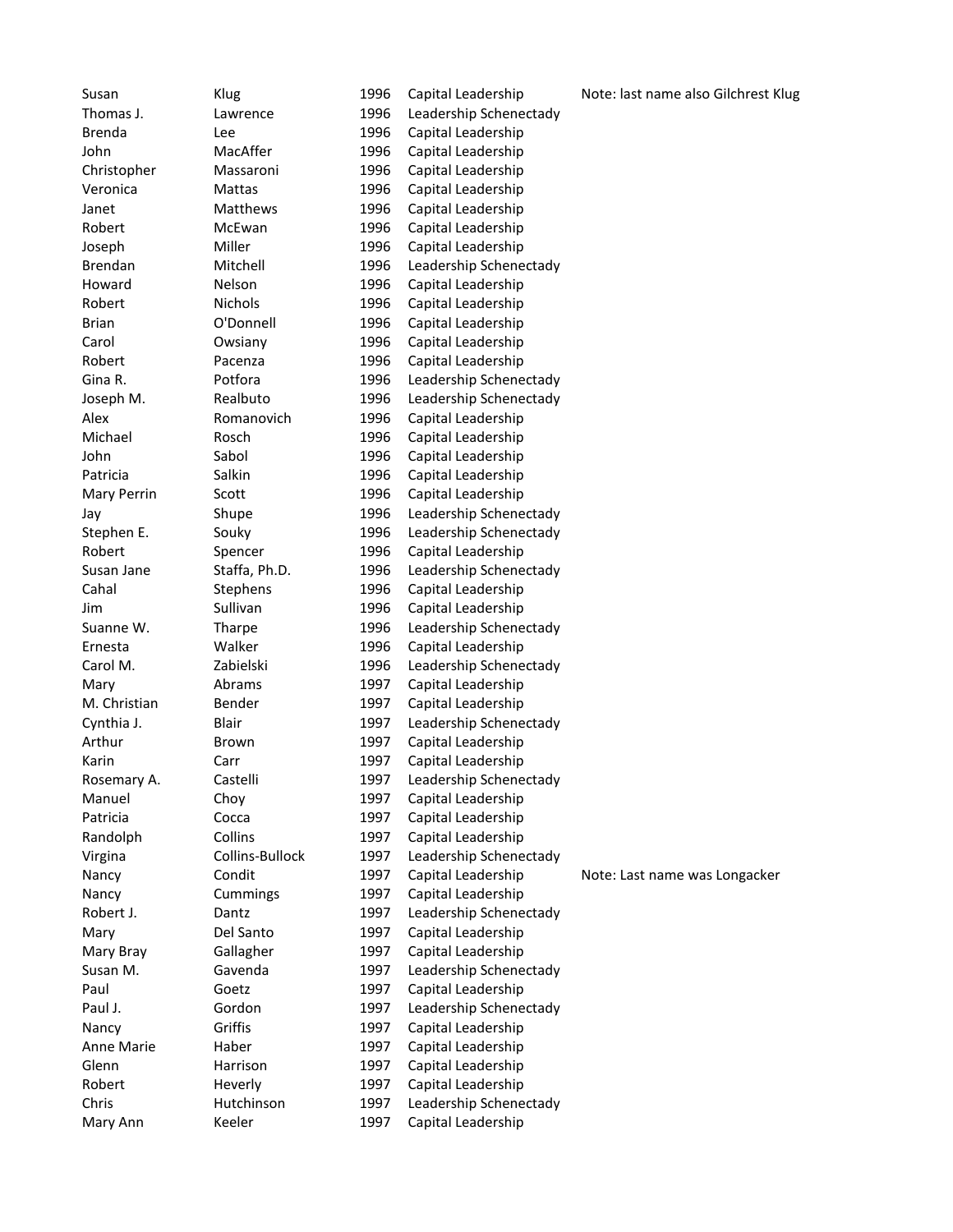Susan Klug 1996 Capital Leadership Note: last name also Gilchrest Klug Thomas J. Lawrence 1996 Leadership Schenectady Brenda Lee Lee 1996 Capital Leadership John MacAffer 1996 Capital Leadership<br>
Christopher Massaroni 1996 Capital Leadership Christopher Massaroni 1996 Capital Leadership Veronica Mattas 1996 Capital Leadership Janet Matthews 1996 Capital Leadership Robert McEwan 1996 Capital Leadership Joseph Miller 1996 Capital Leadership Brendan Mitchell 1996 Leadership Schenectady Howard Nelson 1996 Capital Leadership Robert Nichols 1996 Capital Leadership Brian O'Donnell 1996 Capital Leadership Carol Owsiany 1996 Capital Leadership Robert Pacenza 1996 Capital Leadership Gina R. **Potfora** 1996 Leadership Schenectady Joseph M. Realbuto 1996 Leadership Schenectady Alex Romanovich 1996 Capital Leadership Michael Rosch 1996 Capital Leadership John Sabol 1996 Capital Leadership Patricia Capital Leadership Capital Leadership Mary Perrin Scott 1996 Capital Leadership Jay Shupe 1996 Leadership Schenectady Stephen E. Souky 1996 Leadership Schenectady Robert Spencer 1996 Capital Leadership Susan Jane Staffa, Ph.D. 1996 Leadership Schenectady Cahal Stephens 1996 Capital Leadership Jim Sullivan 1996 Capital Leadership Suanne W. Tharpe 1996 Leadership Schenectady Ernesta Walker 1996 Capital Leadership Carol M. 2abielski 1996 Leadership Schenectady Mary Mary Abrams 1997 Capital Leadership M. Christian Bender 1997 Capital Leadership Cynthia J. Blair Blair 1997 Leadership Schenectady Arthur Brown 1997 Capital Leadership Karin Carr Carr 1997 Capital Leadership Rosemary A. Castelli 1997 Leadership Schenectady Manuel Choy 1997 Capital Leadership Patricia Cocca 1997 Capital Leadership Randolph Collins 1997 Capital Leadership Virgina Collins-Bullock 1997 Leadership Schenectady Nancy Condit 1997 Capital Leadership Note: Last name was Longacker Nancy Cummings 1997 Capital Leadership Robert J. Dantz Dantz 1997 Leadership Schenectady Mary Del Santo 1997 Capital Leadership Mary Bray Gallagher 1997 Capital Leadership Susan M. Gavenda 1997 Leadership Schenectady Paul Goetz 1997 Capital Leadership Paul J. **Gordon** 1997 Leadership Schenectady Nancy Griffis 1997 Capital Leadership Anne Marie Haber 1997 Capital Leadership Glenn Harrison 1997 Capital Leadership Robert Heverly 1997 Capital Leadership Chris Hutchinson 1997 Leadership Schenectady Mary Ann **Keeler** 1997 Capital Leadership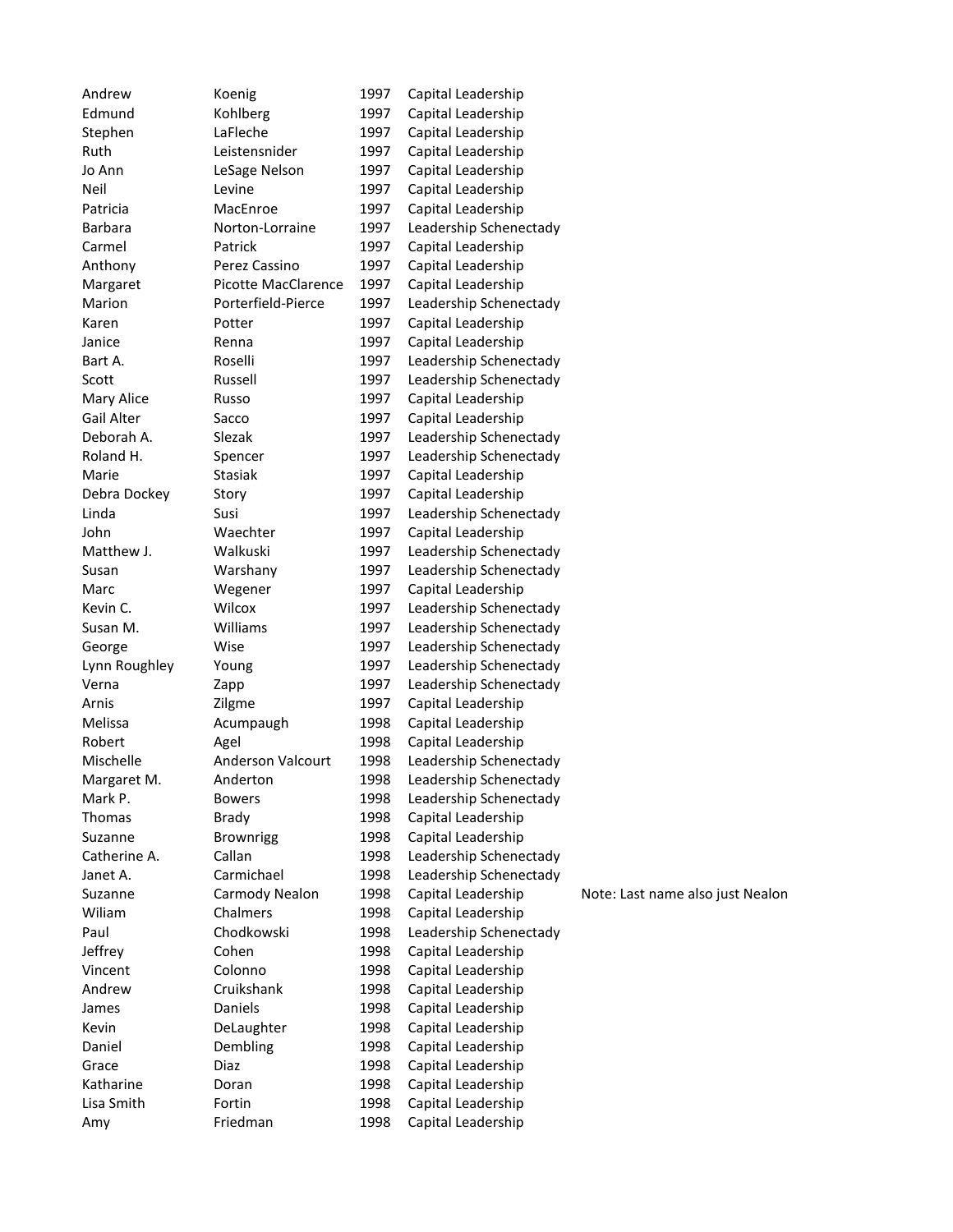| Andrew         | Koenig              | 1997 | Capital Leadership     |                                  |
|----------------|---------------------|------|------------------------|----------------------------------|
| Edmund         | Kohlberg            | 1997 | Capital Leadership     |                                  |
| Stephen        | LaFleche            | 1997 | Capital Leadership     |                                  |
| Ruth           | Leistensnider       | 1997 | Capital Leadership     |                                  |
| Jo Ann         | LeSage Nelson       | 1997 | Capital Leadership     |                                  |
| Neil           | Levine              | 1997 | Capital Leadership     |                                  |
| Patricia       | MacEnroe            | 1997 | Capital Leadership     |                                  |
| <b>Barbara</b> | Norton-Lorraine     | 1997 | Leadership Schenectady |                                  |
| Carmel         | Patrick             | 1997 | Capital Leadership     |                                  |
| Anthony        | Perez Cassino       | 1997 | Capital Leadership     |                                  |
| Margaret       | Picotte MacClarence | 1997 | Capital Leadership     |                                  |
| Marion         | Porterfield-Pierce  | 1997 | Leadership Schenectady |                                  |
| Karen          | Potter              | 1997 | Capital Leadership     |                                  |
| Janice         | Renna               | 1997 | Capital Leadership     |                                  |
| Bart A.        | Roselli             | 1997 | Leadership Schenectady |                                  |
| Scott          | Russell             | 1997 | Leadership Schenectady |                                  |
| Mary Alice     | Russo               | 1997 | Capital Leadership     |                                  |
| Gail Alter     | Sacco               | 1997 | Capital Leadership     |                                  |
| Deborah A.     | Slezak              | 1997 | Leadership Schenectady |                                  |
| Roland H.      | Spencer             | 1997 | Leadership Schenectady |                                  |
| Marie          | Stasiak             | 1997 | Capital Leadership     |                                  |
| Debra Dockey   | Story               | 1997 | Capital Leadership     |                                  |
| Linda          | Susi                | 1997 | Leadership Schenectady |                                  |
| John           | Waechter            | 1997 | Capital Leadership     |                                  |
| Matthew J.     | Walkuski            | 1997 | Leadership Schenectady |                                  |
| Susan          | Warshany            | 1997 | Leadership Schenectady |                                  |
| Marc           | Wegener             | 1997 | Capital Leadership     |                                  |
| Kevin C.       | Wilcox              | 1997 | Leadership Schenectady |                                  |
| Susan M.       | Williams            | 1997 | Leadership Schenectady |                                  |
| George         | Wise                | 1997 | Leadership Schenectady |                                  |
| Lynn Roughley  | Young               | 1997 | Leadership Schenectady |                                  |
| Verna          | Zapp                | 1997 | Leadership Schenectady |                                  |
| Arnis          | Zilgme              | 1997 | Capital Leadership     |                                  |
| Melissa        | Acumpaugh           | 1998 | Capital Leadership     |                                  |
| Robert         | Agel                | 1998 | Capital Leadership     |                                  |
| Mischelle      | Anderson Valcourt   | 1998 | Leadership Schenectady |                                  |
| Margaret M.    | Anderton            | 1998 | Leadership Schenectady |                                  |
| Mark P.        | <b>Bowers</b>       | 1998 | Leadership Schenectady |                                  |
| Thomas         | Brady               | 1998 | Capital Leadership     |                                  |
| Suzanne        | <b>Brownrigg</b>    | 1998 | Capital Leadership     |                                  |
| Catherine A.   | Callan              | 1998 | Leadership Schenectady |                                  |
| Janet A.       | Carmichael          | 1998 | Leadership Schenectady |                                  |
| Suzanne        | Carmody Nealon      | 1998 | Capital Leadership     | Note: Last name also just Nealon |
| Wiliam         | Chalmers            | 1998 | Capital Leadership     |                                  |
| Paul           | Chodkowski          | 1998 | Leadership Schenectady |                                  |
| Jeffrey        | Cohen               | 1998 | Capital Leadership     |                                  |
| Vincent        | Colonno             | 1998 | Capital Leadership     |                                  |
| Andrew         | Cruikshank          | 1998 | Capital Leadership     |                                  |
| James          | Daniels             | 1998 | Capital Leadership     |                                  |
| Kevin          | DeLaughter          | 1998 | Capital Leadership     |                                  |
| Daniel         | Dembling            | 1998 | Capital Leadership     |                                  |
| Grace          | Diaz                | 1998 | Capital Leadership     |                                  |
| Katharine      | Doran               | 1998 | Capital Leadership     |                                  |
| Lisa Smith     | Fortin              | 1998 | Capital Leadership     |                                  |
| Amy            | Friedman            | 1998 | Capital Leadership     |                                  |
|                |                     |      |                        |                                  |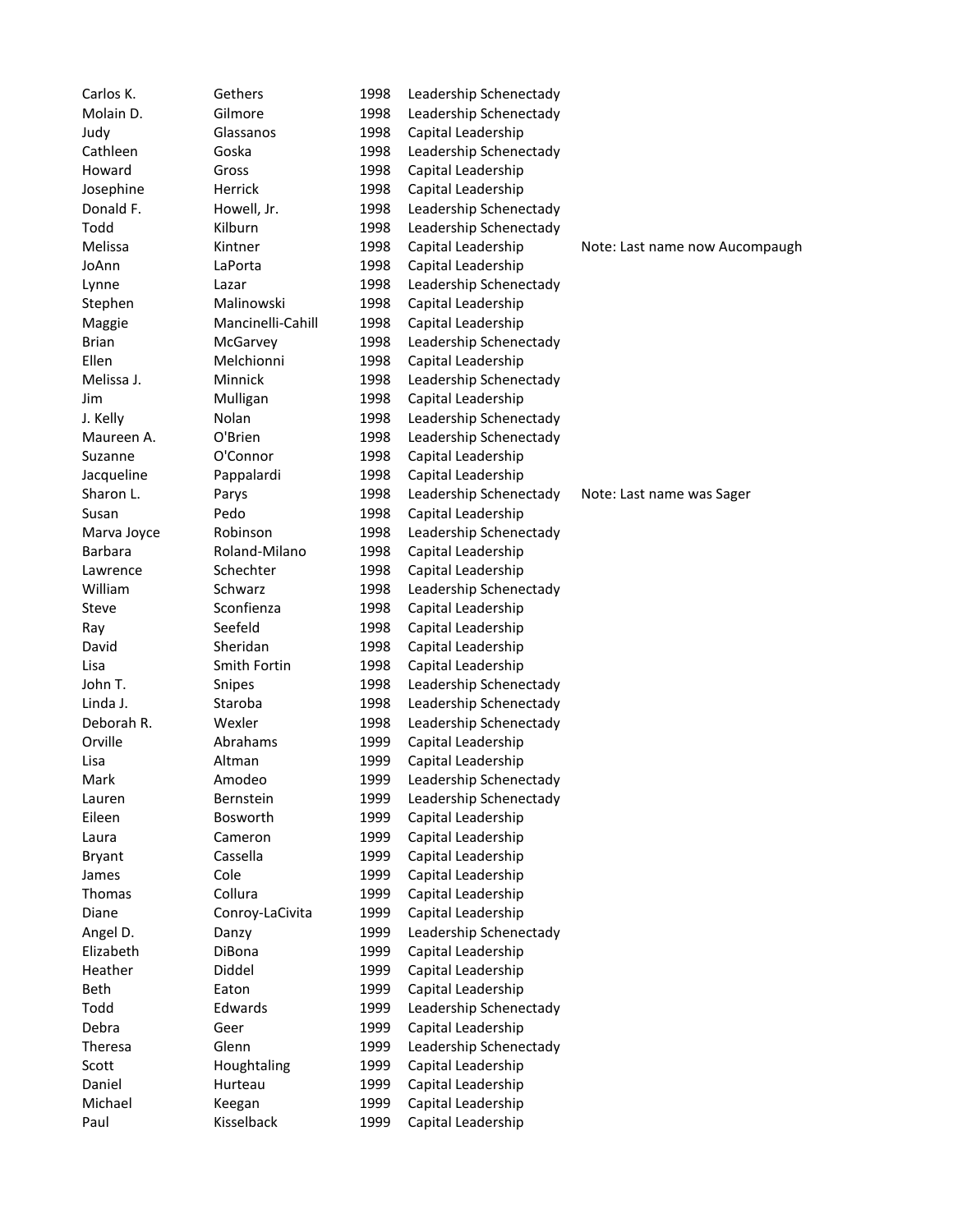Carlos K. Gethers 1998 Leadership Schenectady Molain D. Gilmore 1998 Leadership Schenectady Judy Glassanos 1998 Capital Leadership Cathleen Goska 1998 Leadership Schenectady Howard Gross 1998 Capital Leadership Josephine Herrick 1998 Capital Leadership Donald F. Howell, Jr. 1998 Leadership Schenectady Todd Kilburn 1998 Leadership Schenectady Melissa Kintner 1998 Capital Leadership Note: Last name now Aucompaugh Note: Last name now Aucompaugh JoAnn LaPorta 1998 Capital Leadership Lynne Lazar 1998 Leadership Schenectady Stephen Malinowski 1998 Capital Leadership Maggie Mancinelli-Cahill 1998 Capital Leadership Brian McGarvey 1998 Leadership Schenectady Ellen Melchionni 1998 Capital Leadership Melissa J. Minnick 1998 Leadership Schenectady Jim Mulligan 1998 Capital Leadership J. Kelly Nolan 1998 Leadership Schenectady Maureen A. C'Brien 1998 Leadership Schenectady Suzanne O'Connor 1998 Capital Leadership Jacqueline Pappalardi 1998 Capital Leadership Sharon L. Parys 1998 Leadership Schenectady Note: Last name was Sager Susan Pedo 1998 Capital Leadership Marva Joyce Robinson 1998 Leadership Schenectady Barbara Roland-Milano 1998 Capital Leadership Lawrence Schechter 1998 Capital Leadership William Schwarz 1998 Leadership Schenectady Steve Sconfienza 1998 Capital Leadership Ray Seefeld 1998 Capital Leadership David Sheridan 1998 Capital Leadership Lisa Smith Fortin 1998 Capital Leadership John T. Snipes 1998 Leadership Schenectady Linda J. Staroba 1998 Leadership Schenectady Deborah R. Wexler 1998 Leadership Schenectady Orville Abrahams 1999 Capital Leadership Lisa Altman 1999 Capital Leadership Mark **Amodeo** 1999 Leadership Schenectady Lauren Bernstein 1999 Leadership Schenectady Eileen Bosworth 1999 Capital Leadership Laura Cameron 1999 Capital Leadership Bryant Cassella 1999 Capital Leadership James Cole 1999 Capital Leadership Thomas Collura 1999 Capital Leadership Diane Conroy-LaCivita 1999 Capital Leadership Angel D. Canzy Chanzy 1999 Leadership Schenectady Elizabeth DiBona 1999 Capital Leadership Heather Diddel 1999 Capital Leadership Beth Eaton Eaton 1999 Capital Leadership Todd Edwards 1999 Leadership Schenectady Debra Geer 1999 Capital Leadership Theresa Glenn 1999 Leadership Schenectady Scott **Houghtaling** 1999 Capital Leadership Daniel Hurteau 1999 Capital Leadership Michael Keegan 1999 Capital Leadership Paul Kisselback 1999 Capital Leadership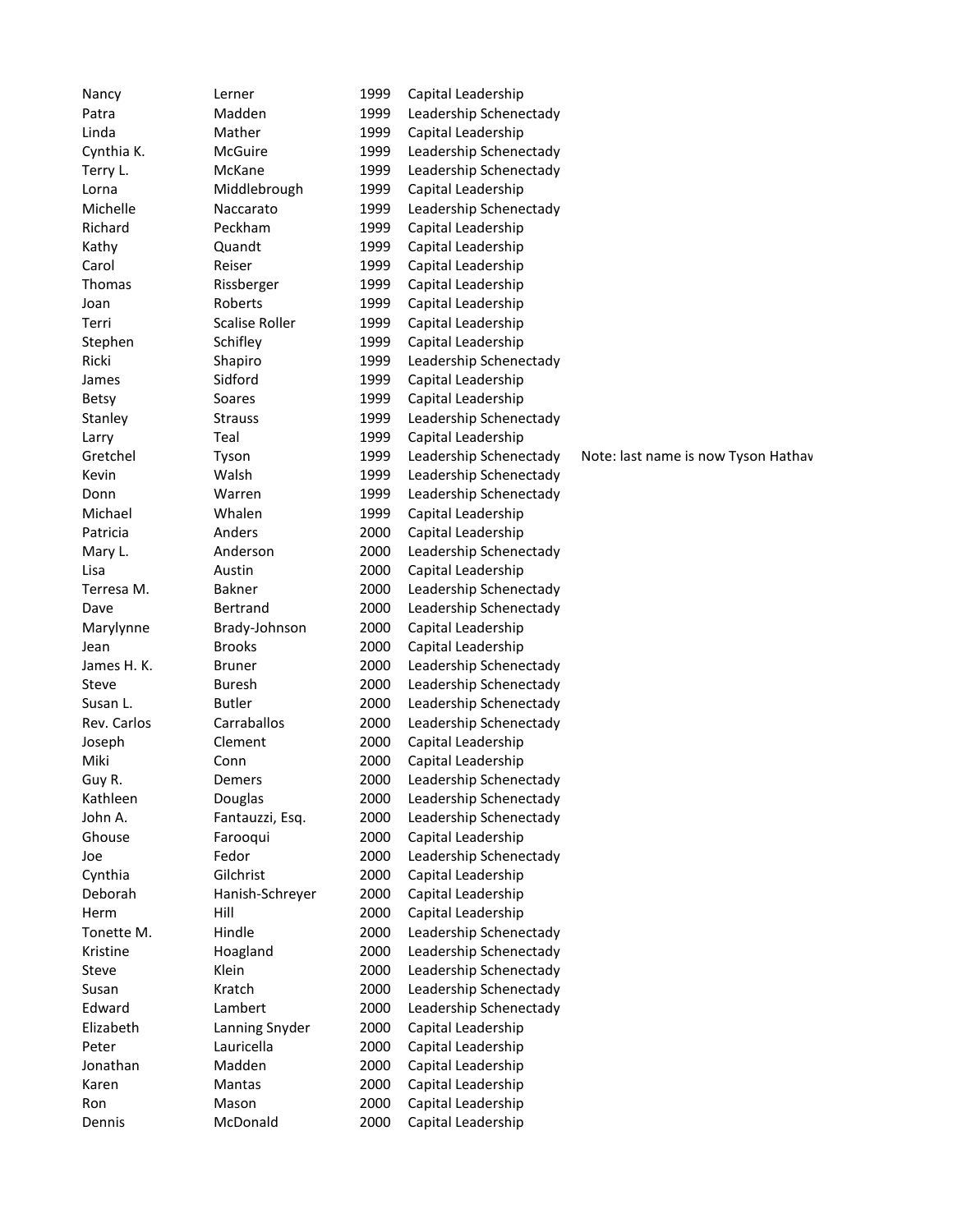| Nancy        | Lerner                | 1999 | Capital Leadership     |                                     |
|--------------|-----------------------|------|------------------------|-------------------------------------|
| Patra        | Madden                | 1999 | Leadership Schenectady |                                     |
| Linda        | Mather                | 1999 | Capital Leadership     |                                     |
| Cynthia K.   | McGuire               | 1999 | Leadership Schenectady |                                     |
| Terry L.     | McKane                | 1999 | Leadership Schenectady |                                     |
| Lorna        | Middlebrough          | 1999 | Capital Leadership     |                                     |
| Michelle     | Naccarato             | 1999 | Leadership Schenectady |                                     |
| Richard      | Peckham               | 1999 | Capital Leadership     |                                     |
| Kathy        | Quandt                | 1999 | Capital Leadership     |                                     |
| Carol        | Reiser                | 1999 | Capital Leadership     |                                     |
| Thomas       | Rissberger            | 1999 | Capital Leadership     |                                     |
| Joan         | Roberts               | 1999 | Capital Leadership     |                                     |
| Terri        | <b>Scalise Roller</b> | 1999 | Capital Leadership     |                                     |
| Stephen      | Schifley              | 1999 | Capital Leadership     |                                     |
| Ricki        | Shapiro               | 1999 | Leadership Schenectady |                                     |
| James        | Sidford               | 1999 | Capital Leadership     |                                     |
|              | Soares                | 1999 | Capital Leadership     |                                     |
| <b>Betsy</b> | <b>Strauss</b>        | 1999 |                        |                                     |
| Stanley      |                       |      | Leadership Schenectady |                                     |
| Larry        | Teal                  | 1999 | Capital Leadership     |                                     |
| Gretchel     | Tyson                 | 1999 | Leadership Schenectady | Note: last name is now Tyson Hathav |
| Kevin        | Walsh                 | 1999 | Leadership Schenectady |                                     |
| Donn         | Warren                | 1999 | Leadership Schenectady |                                     |
| Michael      | Whalen                | 1999 | Capital Leadership     |                                     |
| Patricia     | Anders                | 2000 | Capital Leadership     |                                     |
| Mary L.      | Anderson              | 2000 | Leadership Schenectady |                                     |
| Lisa         | Austin                | 2000 | Capital Leadership     |                                     |
| Terresa M.   | <b>Bakner</b>         | 2000 | Leadership Schenectady |                                     |
| Dave         | Bertrand              | 2000 | Leadership Schenectady |                                     |
| Marylynne    | Brady-Johnson         | 2000 | Capital Leadership     |                                     |
| Jean         | <b>Brooks</b>         | 2000 | Capital Leadership     |                                     |
| James H. K.  | <b>Bruner</b>         | 2000 | Leadership Schenectady |                                     |
| Steve        | <b>Buresh</b>         | 2000 | Leadership Schenectady |                                     |
| Susan L.     | <b>Butler</b>         | 2000 | Leadership Schenectady |                                     |
| Rev. Carlos  | Carraballos           | 2000 | Leadership Schenectady |                                     |
| Joseph       | Clement               | 2000 | Capital Leadership     |                                     |
| Miki         | Conn                  | 2000 | Capital Leadership     |                                     |
| Guy R.       | Demers                | 2000 | Leadership Schenectady |                                     |
| Kathleen     | Douglas               | 2000 | Leadership Schenectady |                                     |
| John A.      | Fantauzzi, Esq.       | 2000 | Leadership Schenectady |                                     |
| Ghouse       | Farooqui              | 2000 | Capital Leadership     |                                     |
| Joe          | Fedor                 | 2000 | Leadership Schenectady |                                     |
| Cynthia      | Gilchrist             | 2000 | Capital Leadership     |                                     |
| Deborah      | Hanish-Schreyer       | 2000 | Capital Leadership     |                                     |
| Herm         | Hill                  | 2000 | Capital Leadership     |                                     |
| Tonette M.   | Hindle                | 2000 | Leadership Schenectady |                                     |
| Kristine     | Hoagland              | 2000 | Leadership Schenectady |                                     |
| Steve        | Klein                 | 2000 | Leadership Schenectady |                                     |
| Susan        | Kratch                | 2000 | Leadership Schenectady |                                     |
| Edward       | Lambert               | 2000 | Leadership Schenectady |                                     |
| Elizabeth    | Lanning Snyder        | 2000 | Capital Leadership     |                                     |
| Peter        | Lauricella            | 2000 | Capital Leadership     |                                     |
| Jonathan     | Madden                | 2000 | Capital Leadership     |                                     |
| Karen        | Mantas                | 2000 | Capital Leadership     |                                     |
| Ron          | Mason                 | 2000 | Capital Leadership     |                                     |
| Dennis       | McDonald              | 2000 | Capital Leadership     |                                     |
|              |                       |      |                        |                                     |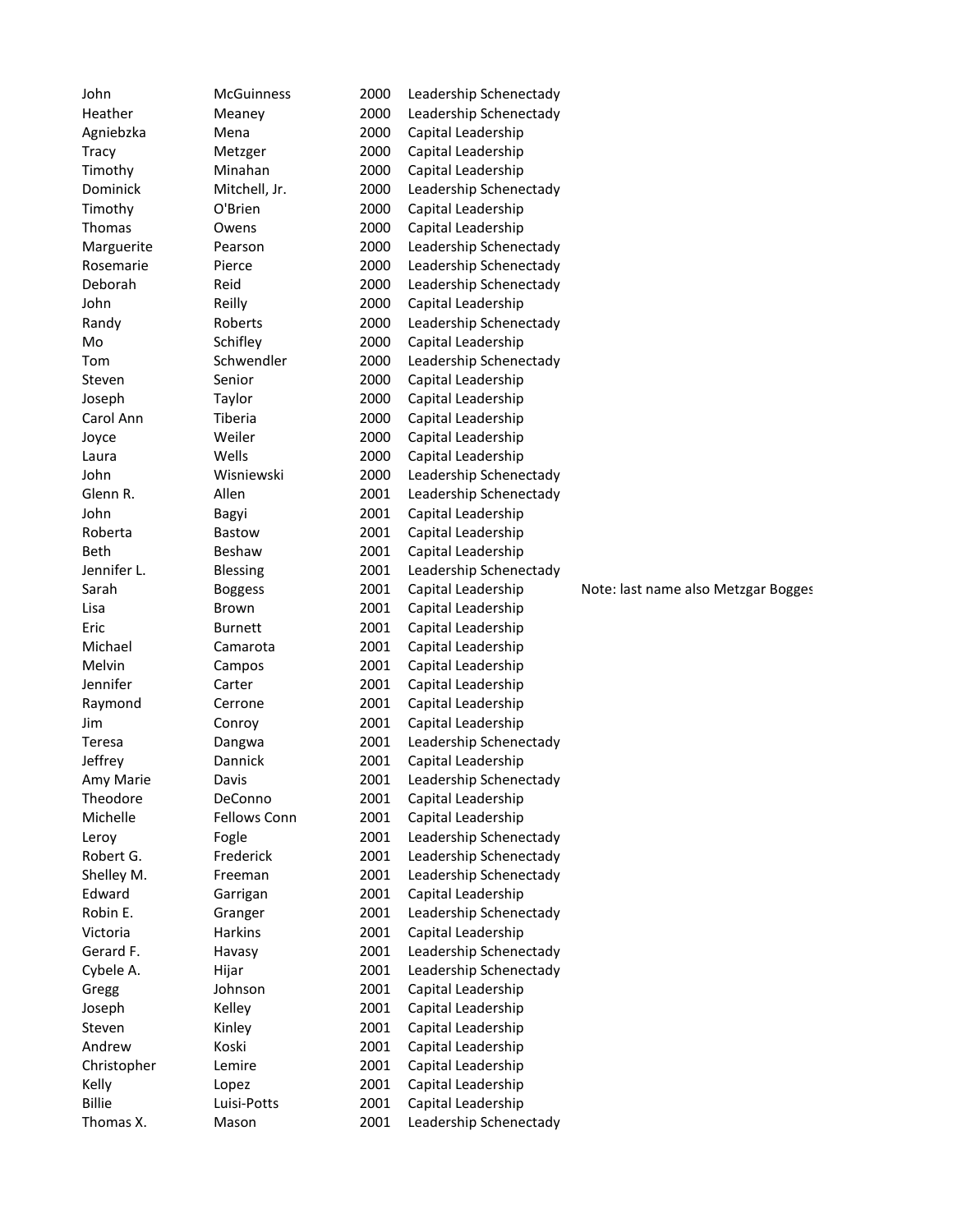| John                       | McGuinness           | 2000         | Leadership Schenectady                       |                                     |
|----------------------------|----------------------|--------------|----------------------------------------------|-------------------------------------|
| Heather                    | Meaney               | 2000         | Leadership Schenectady                       |                                     |
| Agniebzka                  | Mena                 | 2000         | Capital Leadership                           |                                     |
| <b>Tracy</b>               | Metzger              | 2000         | Capital Leadership                           |                                     |
| Timothy                    | Minahan              | 2000         | Capital Leadership                           |                                     |
| Dominick                   | Mitchell, Jr.        | 2000         | Leadership Schenectady                       |                                     |
| Timothy                    | O'Brien              | 2000         | Capital Leadership                           |                                     |
| Thomas                     | Owens                | 2000         | Capital Leadership                           |                                     |
| Marguerite                 | Pearson              | 2000         | Leadership Schenectady                       |                                     |
| Rosemarie                  | Pierce               | 2000         | Leadership Schenectady                       |                                     |
| Deborah                    | Reid                 | 2000         | Leadership Schenectady                       |                                     |
| John                       | Reilly               | 2000         | Capital Leadership                           |                                     |
| Randy                      | Roberts              | 2000         | Leadership Schenectady                       |                                     |
| Mo                         | Schifley             | 2000         | Capital Leadership                           |                                     |
| Tom                        | Schwendler           | 2000         | Leadership Schenectady                       |                                     |
| Steven                     | Senior               | 2000         | Capital Leadership                           |                                     |
| Joseph                     | Taylor               | 2000         | Capital Leadership                           |                                     |
| Carol Ann                  | Tiberia              | 2000         | Capital Leadership                           |                                     |
| Joyce                      | Weiler               | 2000         | Capital Leadership                           |                                     |
| Laura                      | Wells                | 2000         | Capital Leadership                           |                                     |
| John                       | Wisniewski           | 2000         | Leadership Schenectady                       |                                     |
| Glenn R.                   | Allen                | 2001         | Leadership Schenectady                       |                                     |
| John                       | Bagyi                | 2001         | Capital Leadership                           |                                     |
| Roberta                    | <b>Bastow</b>        | 2001         | Capital Leadership                           |                                     |
| <b>Beth</b>                | Beshaw               | 2001         | Capital Leadership                           |                                     |
| Jennifer L.                | Blessing             | 2001         | Leadership Schenectady                       |                                     |
| Sarah                      | <b>Boggess</b>       | 2001         | Capital Leadership                           | Note: last name also Metzgar Bogges |
| Lisa                       | Brown                | 2001         | Capital Leadership                           |                                     |
|                            |                      |              |                                              |                                     |
|                            |                      |              |                                              |                                     |
| Eric                       | <b>Burnett</b>       | 2001         | Capital Leadership                           |                                     |
| Michael                    | Camarota             | 2001         | Capital Leadership                           |                                     |
| Melvin                     | Campos               | 2001         | Capital Leadership                           |                                     |
| Jennifer                   | Carter               | 2001         | Capital Leadership                           |                                     |
| Raymond                    | Cerrone              | 2001         | Capital Leadership                           |                                     |
| Jim                        | Conroy               | 2001         | Capital Leadership                           |                                     |
| Teresa                     | Dangwa               | 2001         | Leadership Schenectady                       |                                     |
| Jeffrey                    | Dannick              | 2001         | Capital Leadership                           |                                     |
| Amy Marie                  | Davis                | 2001         | Leadership Schenectady                       |                                     |
| Theodore                   | DeConno              | 2001         | Capital Leadership                           |                                     |
| Michelle                   | Fellows Conn         | 2001         | Capital Leadership                           |                                     |
| Leroy                      | Fogle                | 2001         | Leadership Schenectady                       |                                     |
| Robert G.                  | Frederick            | 2001         | Leadership Schenectady                       |                                     |
| Shelley M.                 | Freeman              | 2001         | Leadership Schenectady                       |                                     |
| Edward                     | Garrigan             | 2001         | Capital Leadership                           |                                     |
| Robin E.                   | Granger              | 2001         | Leadership Schenectady                       |                                     |
| Victoria                   | <b>Harkins</b>       | 2001         | Capital Leadership                           |                                     |
| Gerard F.                  | Havasy               | 2001         | Leadership Schenectady                       |                                     |
| Cybele A.                  | Hijar                | 2001         | Leadership Schenectady                       |                                     |
| Gregg                      | Johnson              | 2001         | Capital Leadership                           |                                     |
| Joseph                     | Kelley               | 2001         | Capital Leadership                           |                                     |
| Steven                     | Kinley               | 2001         | Capital Leadership                           |                                     |
| Andrew                     | Koski                | 2001         | Capital Leadership                           |                                     |
| Christopher                | Lemire               | 2001         | Capital Leadership                           |                                     |
| Kelly                      | Lopez                | 2001         | Capital Leadership                           |                                     |
| <b>Billie</b><br>Thomas X. | Luisi-Potts<br>Mason | 2001<br>2001 | Capital Leadership<br>Leadership Schenectady |                                     |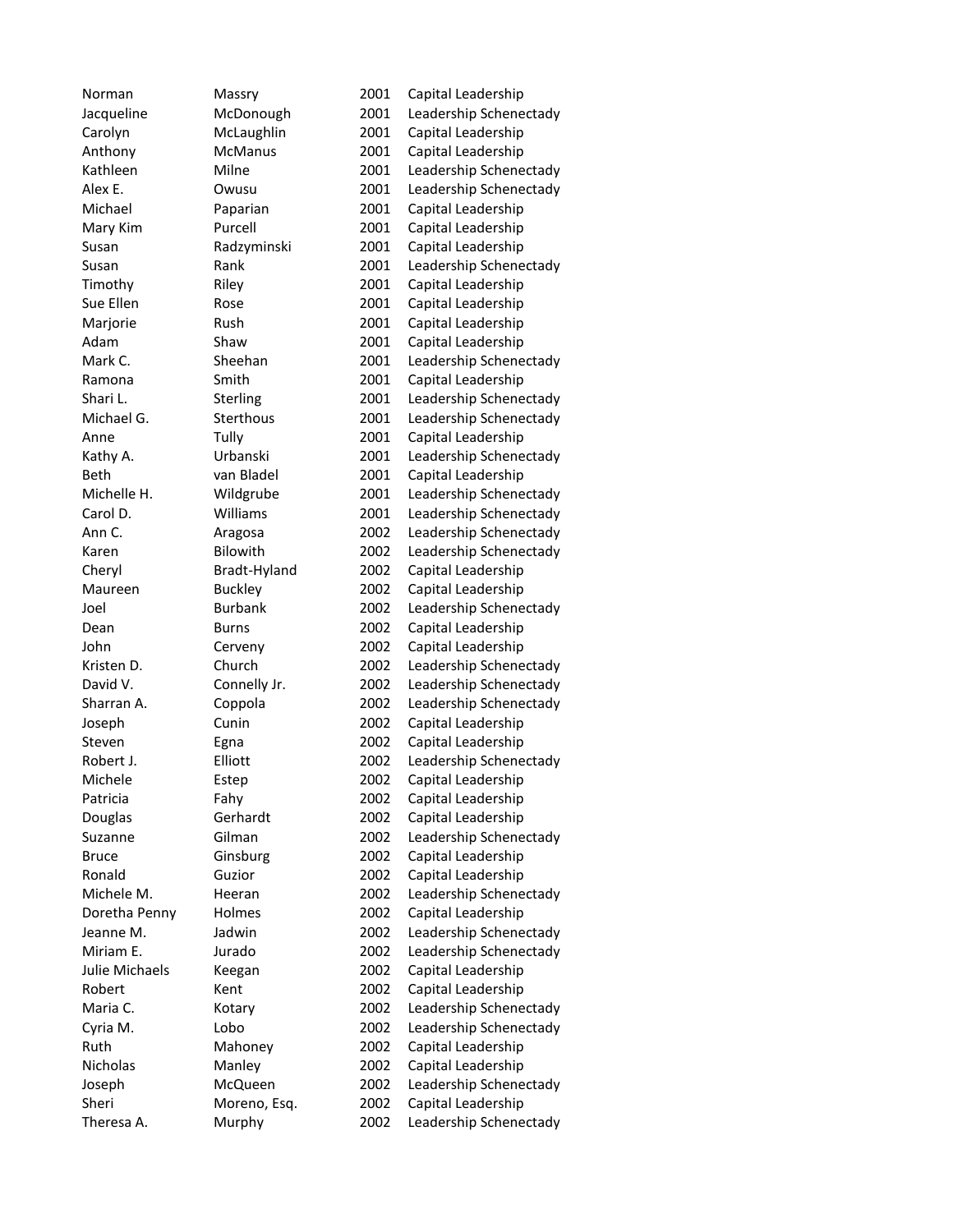Norman Massry 2001 Capital Leadership Jacqueline McDonough 2001 Leadership Schenectady Carolyn McLaughlin 2001 Capital Leadership Anthony McManus 2001 Capital Leadership Kathleen Milne 2001 Leadership Schenectady Alex E. Owusu 2001 Leadership Schenectady Michael Paparian 2001 Capital Leadership Mary Kim Purcell 2001 Capital Leadership Susan Radzyminski 2001 Capital Leadership Susan **Rank** 2001 Leadership Schenectady Timothy Riley 2001 Capital Leadership Sue Ellen Rose 2001 Capital Leadership Marjorie Rush 2001 Capital Leadership Adam Shaw 2001 Capital Leadership Mark C. Sheehan 2001 Leadership Schenectady Ramona Smith 2001 Capital Leadership Shari L. Sterling 2001 Leadership Schenectady Michael G. Sterthous 2001 Leadership Schenectady Anne Tully 7001 Capital Leadership Kathy A. Urbanski 2001 Leadership Schenectady Beth van Bladel 2001 Capital Leadership Michelle H. Wildgrube 2001 Leadership Schenectady Carol D. Williams 2001 Leadership Schenectady Ann C. Aragosa 2002 Leadership Schenectady Karen Bilowith 2002 Leadership Schenectady Cheryl Bradt-Hyland 2002 Capital Leadership Maureen Buckley 2002 Capital Leadership Joel Burbank 2002 Leadership Schenectady Dean Burns 2002 Capital Leadership John Cerveny 2002 Capital Leadership Kristen D. Church 2002 Leadership Schenectady David V. Connelly Jr. 2002 Leadership Schenectady Sharran A. Coppola 2002 Leadership Schenectady Joseph Cunin 2002 Capital Leadership Steven Egna 2002 Capital Leadership Robert J. Elliott 2002 Leadership Schenectady Michele Estep 2002 Capital Leadership Patricia Fahy Fahy 2002 Capital Leadership Douglas Gerhardt 2002 Capital Leadership Suzanne Gilman 2002 Leadership Schenectady Bruce Ginsburg 2002 Capital Leadership Ronald Guzior 2002 Capital Leadership Michele M. Heeran 2002 Leadership Schenectady Doretha Penny Holmes 2002 Capital Leadership Jeanne M. Jadwin 2002 Leadership Schenectady Miriam E. Sand Jurado 2002 Leadership Schenectady Julie Michaels Keegan 2002 Capital Leadership Robert Kent 2002 Capital Leadership Maria C. **Kotary 2002** Leadership Schenectady Cyria M. Lobo 2002 Leadership Schenectady Ruth Mahoney 2002 Capital Leadership Nicholas Manley 2002 Capital Leadership Joseph McQueen 2002 Leadership Schenectady Sheri Moreno, Esq. 2002 Capital Leadership Theresa A. Murphy 2002 Leadership Schenectady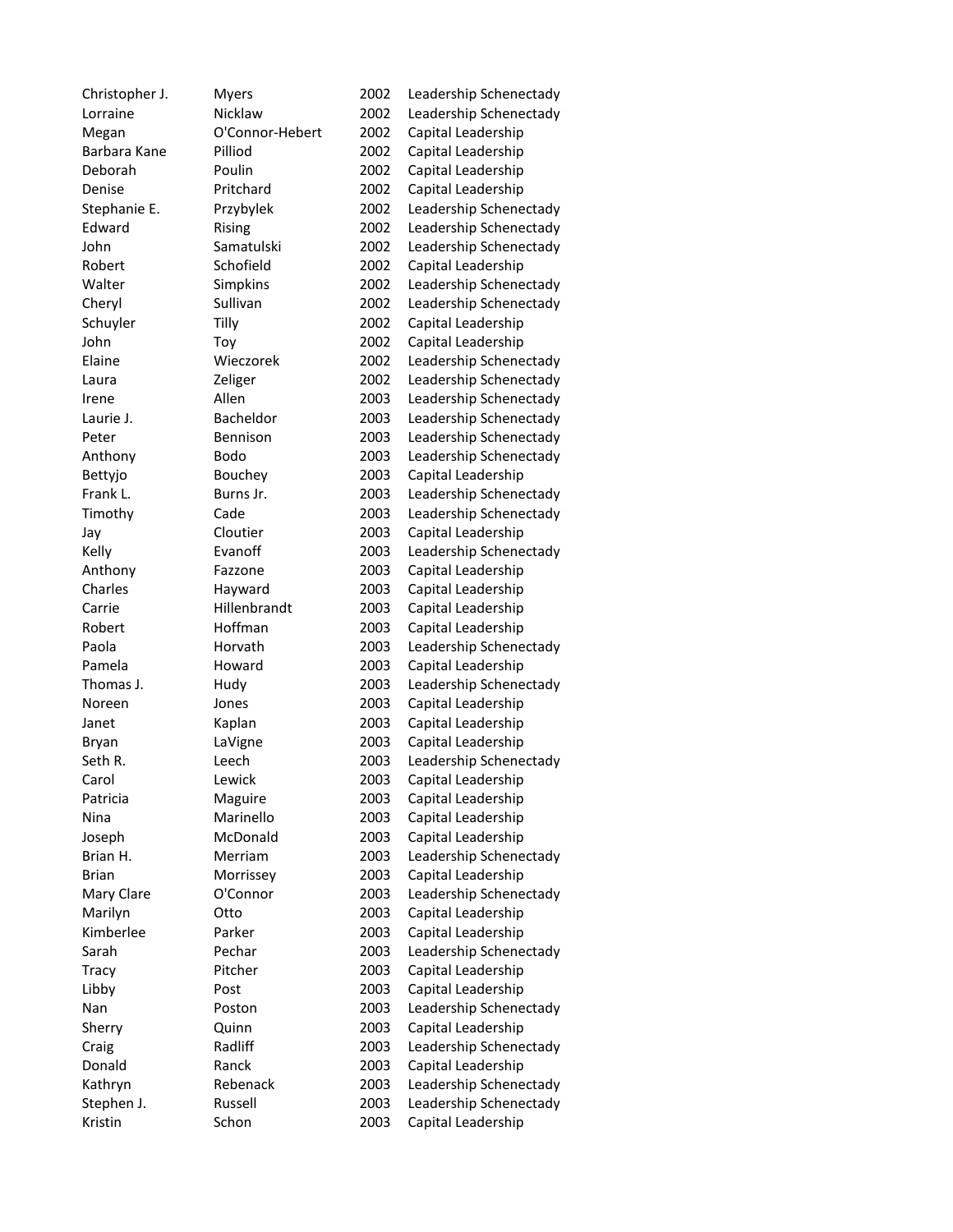| Christopher J. | <b>Myers</b>         | 2002 | Leadership Schenectady |
|----------------|----------------------|------|------------------------|
| Lorraine       | Nicklaw              | 2002 | Leadership Schenectady |
| Megan          | O'Connor-Hebert      | 2002 | Capital Leadership     |
| Barbara Kane   | Pilliod              | 2002 | Capital Leadership     |
| Deborah        | Poulin               | 2002 | Capital Leadership     |
| Denise         | Pritchard            | 2002 | Capital Leadership     |
| Stephanie E.   | Przybylek            | 2002 | Leadership Schenectady |
| Edward         | Rising               | 2002 | Leadership Schenectady |
| John           | Samatulski           | 2002 | Leadership Schenectady |
| Robert         | Schofield            | 2002 | Capital Leadership     |
| Walter         | Simpkins             | 2002 | Leadership Schenectady |
| Cheryl         | Sullivan             | 2002 | Leadership Schenectady |
| Schuyler       | Tilly                | 2002 | Capital Leadership     |
| John           | Toy                  | 2002 | Capital Leadership     |
| Elaine         | Wieczorek            | 2002 | Leadership Schenectady |
| Laura          | Zeliger              | 2002 | Leadership Schenectady |
| Irene          | Allen                | 2003 | Leadership Schenectady |
| Laurie J.      | Bacheldor            | 2003 | Leadership Schenectady |
| Peter          | Bennison             | 2003 | Leadership Schenectady |
| Anthony        | Bodo                 | 2003 | Leadership Schenectady |
| Bettyjo        | Bouchey              | 2003 | Capital Leadership     |
| Frank L.       | Burns Jr.            | 2003 | Leadership Schenectady |
| Timothy        | Cade                 | 2003 | Leadership Schenectady |
| Jay            | Cloutier             | 2003 | Capital Leadership     |
| Kelly          | Evanoff              | 2003 | Leadership Schenectady |
| Anthony        | Fazzone              | 2003 | Capital Leadership     |
| Charles        | Hayward              | 2003 | Capital Leadership     |
| Carrie         | Hillenbrandt         | 2003 | Capital Leadership     |
| Robert         | Hoffman              | 2003 | Capital Leadership     |
| Paola          | Horvath              | 2003 | Leadership Schenectady |
| Pamela         | Howard               | 2003 | Capital Leadership     |
| Thomas J.      | Hudy                 | 2003 | Leadership Schenectady |
| Noreen         | Jones                | 2003 | Capital Leadership     |
| Janet          | Kaplan               | 2003 | Capital Leadership     |
| Bryan          | LaVigne              | 2003 | Capital Leadership     |
| Seth R.        | Leech                | 2003 | Leadership Schenectady |
|                |                      | 2003 |                        |
| Carol          | Lewick               |      | Capital Leadership     |
| Patricia       | Maguire<br>Marinello | 2003 | Capital Leadership     |
| Nina           | McDonald             | 2003 | Capital Leadership     |
| Joseph         |                      | 2003 | Capital Leadership     |
| Brian H.       | Merriam              | 2003 | Leadership Schenectady |
| <b>Brian</b>   | Morrissey            | 2003 | Capital Leadership     |
| Mary Clare     | O'Connor             | 2003 | Leadership Schenectady |
| Marilyn        | Otto                 | 2003 | Capital Leadership     |
| Kimberlee      | Parker               | 2003 | Capital Leadership     |
| Sarah          | Pechar               | 2003 | Leadership Schenectady |
| Tracy          | Pitcher              | 2003 | Capital Leadership     |
| Libby          | Post                 | 2003 | Capital Leadership     |
| Nan            | Poston               | 2003 | Leadership Schenectady |
| Sherry         | Quinn                | 2003 | Capital Leadership     |
| Craig          | Radliff              | 2003 | Leadership Schenectady |
| Donald         | Ranck                | 2003 | Capital Leadership     |
| Kathryn        | Rebenack             | 2003 | Leadership Schenectady |
| Stephen J.     | Russell              | 2003 | Leadership Schenectady |
| Kristin        | Schon                | 2003 | Capital Leadership     |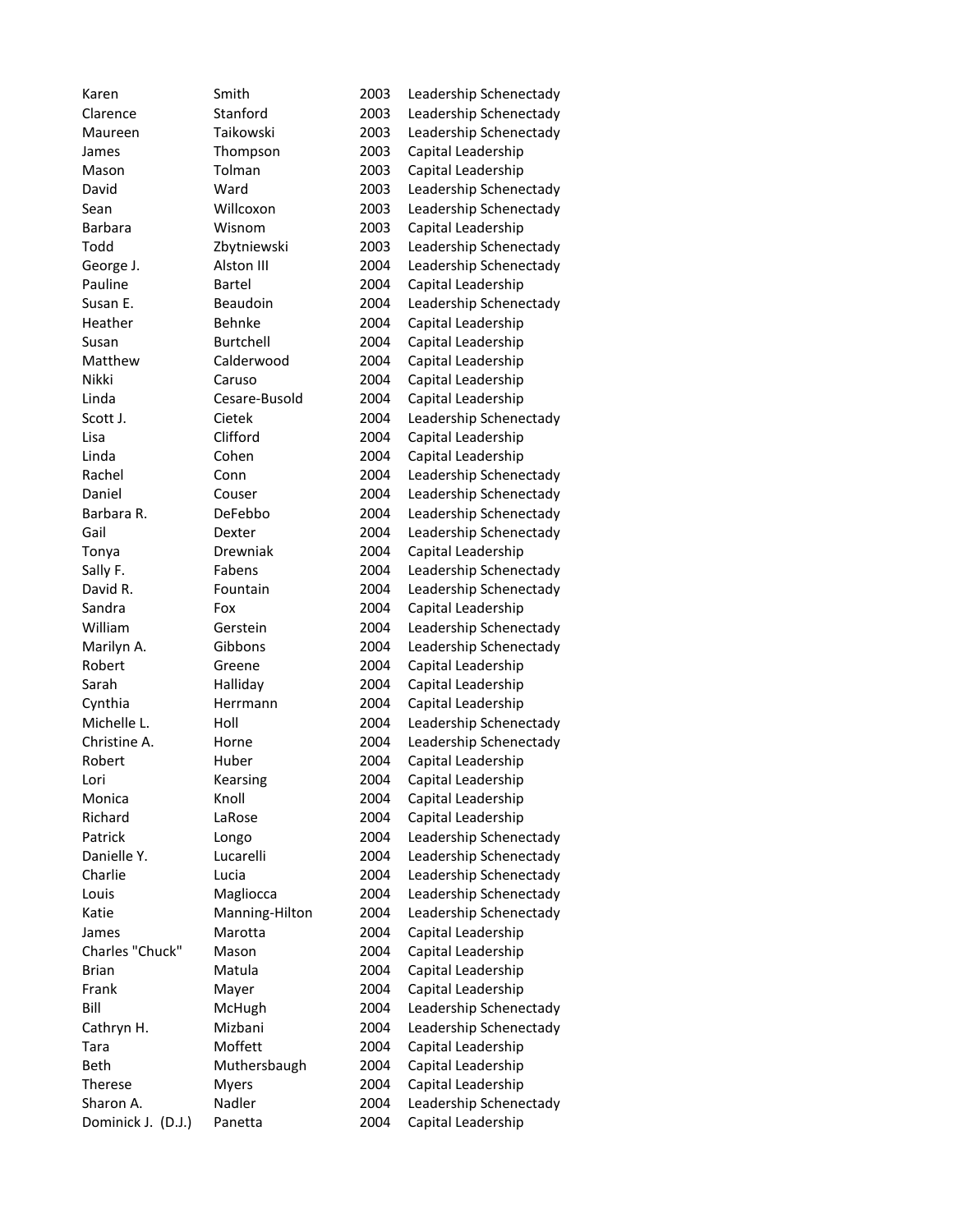| Karen              | Smith            | 2003 | Leadership Schenectady |
|--------------------|------------------|------|------------------------|
| Clarence           | Stanford         | 2003 | Leadership Schenectady |
| Maureen            | Taikowski        | 2003 | Leadership Schenectady |
| James              | Thompson         | 2003 | Capital Leadership     |
| Mason              | Tolman           | 2003 | Capital Leadership     |
| David              | Ward             | 2003 | Leadership Schenectady |
| Sean               | Willcoxon        | 2003 | Leadership Schenectady |
| <b>Barbara</b>     | Wisnom           | 2003 | Capital Leadership     |
| Todd               | Zbytniewski      | 2003 | Leadership Schenectady |
| George J.          | Alston III       | 2004 | Leadership Schenectady |
| Pauline            | Bartel           | 2004 | Capital Leadership     |
| Susan E.           | Beaudoin         | 2004 | Leadership Schenectady |
| Heather            | Behnke           | 2004 | Capital Leadership     |
| Susan              | <b>Burtchell</b> | 2004 | Capital Leadership     |
| Matthew            | Calderwood       | 2004 | Capital Leadership     |
| Nikki              | Caruso           | 2004 | Capital Leadership     |
| Linda              | Cesare-Busold    | 2004 | Capital Leadership     |
| Scott J.           | Cietek           | 2004 | Leadership Schenectady |
| Lisa               | Clifford         | 2004 | Capital Leadership     |
| Linda              | Cohen            | 2004 | Capital Leadership     |
| Rachel             | Conn             | 2004 | Leadership Schenectady |
| Daniel             | Couser           | 2004 | Leadership Schenectady |
| Barbara R.         | DeFebbo          | 2004 | Leadership Schenectady |
| Gail               | Dexter           | 2004 | Leadership Schenectady |
| Tonya              | Drewniak         | 2004 | Capital Leadership     |
| Sally F.           | Fabens           | 2004 | Leadership Schenectady |
| David R.           | Fountain         | 2004 | Leadership Schenectady |
| Sandra             | Fox              | 2004 | Capital Leadership     |
| William            | Gerstein         | 2004 | Leadership Schenectady |
| Marilyn A.         | Gibbons          | 2004 | Leadership Schenectady |
| Robert             | Greene           | 2004 | Capital Leadership     |
| Sarah              | Halliday         | 2004 | Capital Leadership     |
| Cynthia            | Herrmann         | 2004 | Capital Leadership     |
| Michelle L.        | Holl             | 2004 | Leadership Schenectady |
| Christine A.       | Horne            | 2004 | Leadership Schenectady |
| Robert             | Huber            | 2004 | Capital Leadership     |
| Lori               | Kearsing         | 2004 | Capital Leadership     |
| Monica             | Knoll            | 2004 | Capital Leadership     |
| Richard            | LaRose           | 2004 | Capital Leadership     |
| Patrick            | Longo            | 2004 | Leadership Schenectady |
| Danielle Y.        | Lucarelli        | 2004 | Leadership Schenectady |
| Charlie            | Lucia            | 2004 | Leadership Schenectady |
| Louis              | Magliocca        | 2004 | Leadership Schenectady |
| Katie              | Manning-Hilton   | 2004 | Leadership Schenectady |
| James              | Marotta          | 2004 | Capital Leadership     |
| Charles "Chuck"    | Mason            | 2004 | Capital Leadership     |
| <b>Brian</b>       | Matula           | 2004 | Capital Leadership     |
| Frank              | Mayer            | 2004 | Capital Leadership     |
| Bill               | McHugh           | 2004 | Leadership Schenectady |
| Cathryn H.         | Mizbani          | 2004 | Leadership Schenectady |
| Tara               | Moffett          | 2004 | Capital Leadership     |
| Beth               | Muthersbaugh     | 2004 | Capital Leadership     |
| Therese            | <b>Myers</b>     | 2004 | Capital Leadership     |
| Sharon A.          | Nadler           | 2004 | Leadership Schenectady |
| Dominick J. (D.J.) | Panetta          |      | Capital Leadership     |
|                    |                  | 2004 |                        |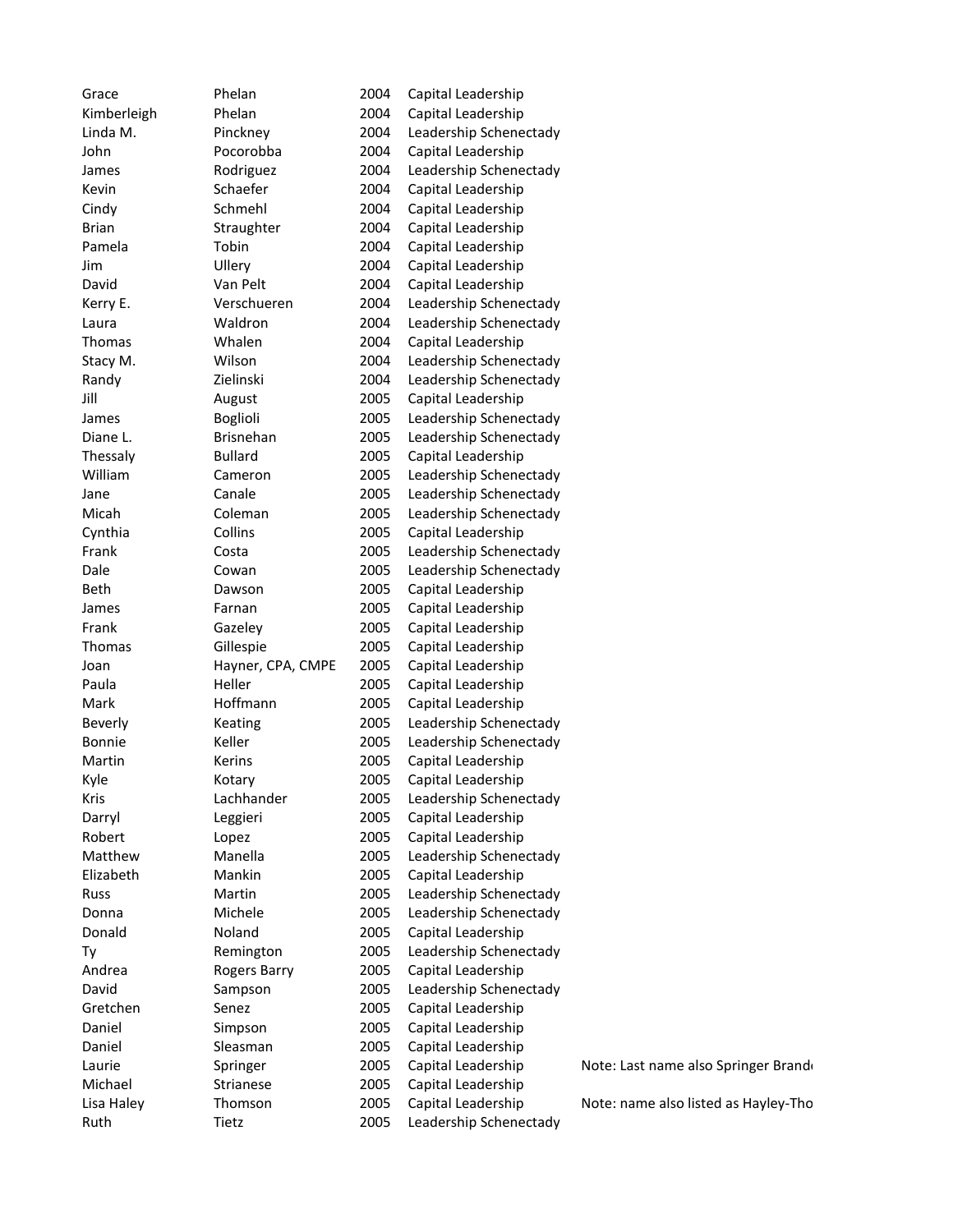| Grace       | Phelan            | 2004         | Capital Leadership                           |            |
|-------------|-------------------|--------------|----------------------------------------------|------------|
| Kimberleigh | Phelan            | 2004         | Capital Leadership                           |            |
| Linda M.    | Pinckney          | 2004         | Leadership Schenectady                       |            |
| John        | Pocorobba         | 2004         | Capital Leadership                           |            |
| James       | Rodriguez         | 2004         | Leadership Schenectady                       |            |
| Kevin       | Schaefer          | 2004         | Capital Leadership                           |            |
| Cindy       | Schmehl           | 2004         | Capital Leadership                           |            |
| Brian       | Straughter        | 2004         | Capital Leadership                           |            |
| Pamela      | Tobin             | 2004         | Capital Leadership                           |            |
| Jim         | Ullery            | 2004         | Capital Leadership                           |            |
| David       | Van Pelt          | 2004         | Capital Leadership                           |            |
| Kerry E.    | Verschueren       | 2004         | Leadership Schenectady                       |            |
| Laura       | Waldron           | 2004         | Leadership Schenectady                       |            |
| Thomas      | Whalen            | 2004         | Capital Leadership                           |            |
| Stacy M.    | Wilson            | 2004         | Leadership Schenectady                       |            |
| Randy       | Zielinski         | 2004         | Leadership Schenectady                       |            |
| Jill        | August            | 2005         | Capital Leadership                           |            |
| James       | <b>Boglioli</b>   | 2005         | Leadership Schenectady                       |            |
| Diane L.    | <b>Brisnehan</b>  | 2005         | Leadership Schenectady                       |            |
| Thessaly    | <b>Bullard</b>    | 2005         | Capital Leadership                           |            |
| William     | Cameron           | 2005         | Leadership Schenectady                       |            |
| Jane        | Canale            | 2005         | Leadership Schenectady                       |            |
| Micah       | Coleman           | 2005         | Leadership Schenectady                       |            |
| Cynthia     | Collins           | 2005         | Capital Leadership                           |            |
| Frank       | Costa             | 2005         | Leadership Schenectady                       |            |
| Dale        | Cowan             | 2005         | Leadership Schenectady                       |            |
| Beth        | Dawson            | 2005         | Capital Leadership                           |            |
| James       | Farnan            | 2005         | Capital Leadership                           |            |
| Frank       | Gazeley           | 2005         | Capital Leadership                           |            |
| Thomas      | Gillespie         | 2005         | Capital Leadership                           |            |
| Joan        | Hayner, CPA, CMPE | 2005         | Capital Leadership                           |            |
| Paula       | Heller            | 2005         | Capital Leadership                           |            |
| Mark        | Hoffmann          | 2005         | Capital Leadership                           |            |
| Beverly     | Keating           | 2005         | Leadership Schenectady                       |            |
| Bonnie      | Keller            | 2005         | Leadership Schenectady                       |            |
| Martin      | Kerins            | 2005         | Capital Leadership                           |            |
| Kyle        | Kotary            | 2005         | Capital Leadership                           |            |
| Kris        | Lachhander        | 2005         | Leadership Schenectady                       |            |
| Darryl      | Leggieri          | 2005         | Capital Leadership                           |            |
| Robert      | Lopez             | 2005         | Capital Leadership                           |            |
| Matthew     | Manella           | 2005         | Leadership Schenectady                       |            |
| Elizabeth   | Mankin            | 2005         | Capital Leadership                           |            |
| Russ        | Martin            | 2005         | Leadership Schenectady                       |            |
| Donna       | Michele           | 2005         | Leadership Schenectady                       |            |
| Donald      | Noland            | 2005         | Capital Leadership                           |            |
| Ty          |                   | 2005         | Leadership Schenectady                       |            |
| Andrea      | Remington         |              |                                              |            |
| David       | Rogers Barry      | 2005<br>2005 | Capital Leadership                           |            |
| Gretchen    | Sampson<br>Senez  |              | Leadership Schenectady<br>Capital Leadership |            |
|             |                   | 2005         |                                              |            |
| Daniel      | Simpson           | 2005         | Capital Leadership                           |            |
| Daniel      | Sleasman          | 2005         | Capital Leadership                           |            |
| Laurie      | Springer          | 2005         | Capital Leadership                           | Note: Last |
| Michael     | Strianese         | 2005         | Capital Leadership                           |            |
| Lisa Haley  | Thomson           | 2005         | Capital Leadership                           | Note: nam  |
| Ruth        | Tietz             | 2005         | Leadership Schenectady                       |            |

name also Springer Brandon

ne also listed as Hayley-Tho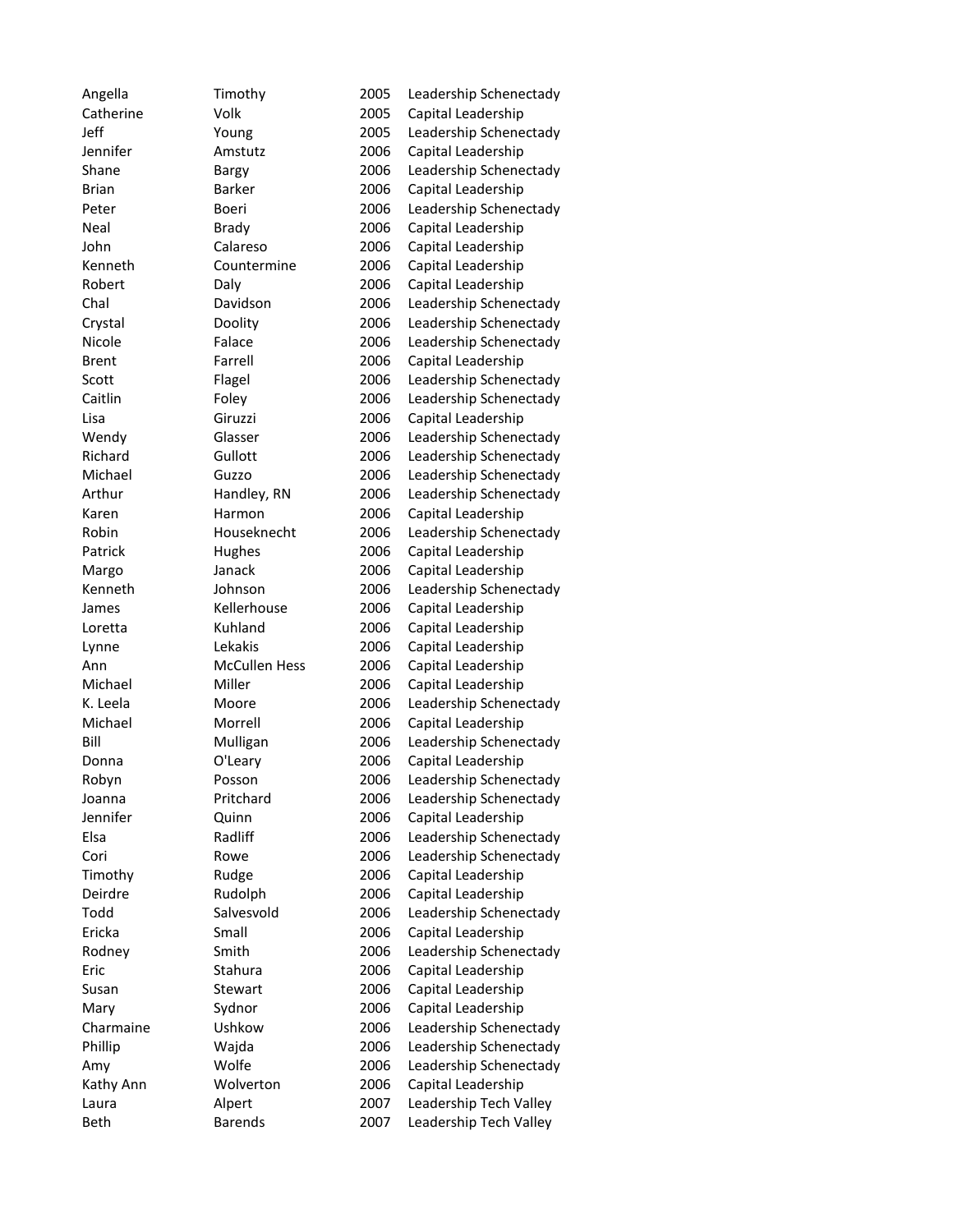| Angella      | Timothy              | 2005 | Leadership Schenectady |
|--------------|----------------------|------|------------------------|
| Catherine    | Volk                 | 2005 | Capital Leadership     |
| Jeff         | Young                | 2005 | Leadership Schenectady |
| Jennifer     | Amstutz              | 2006 | Capital Leadership     |
| Shane        | Bargy                | 2006 | Leadership Schenectady |
| <b>Brian</b> | <b>Barker</b>        | 2006 | Capital Leadership     |
| Peter        | Boeri                | 2006 | Leadership Schenectady |
| Neal         | Brady                | 2006 | Capital Leadership     |
| John         | Calareso             | 2006 | Capital Leadership     |
| Kenneth      | Countermine          | 2006 | Capital Leadership     |
| Robert       | Daly                 | 2006 | Capital Leadership     |
| Chal         | Davidson             | 2006 | Leadership Schenectady |
| Crystal      | Doolity              | 2006 | Leadership Schenectady |
| Nicole       | Falace               | 2006 | Leadership Schenectady |
| <b>Brent</b> | Farrell              | 2006 | Capital Leadership     |
| Scott        | Flagel               | 2006 | Leadership Schenectady |
| Caitlin      | Foley                | 2006 | Leadership Schenectady |
| Lisa         | Giruzzi              | 2006 | Capital Leadership     |
| Wendy        | Glasser              | 2006 | Leadership Schenectady |
| Richard      | Gullott              | 2006 | Leadership Schenectady |
| Michael      | Guzzo                | 2006 | Leadership Schenectady |
| Arthur       | Handley, RN          | 2006 | Leadership Schenectady |
| Karen        | Harmon               | 2006 | Capital Leadership     |
| Robin        | Houseknecht          | 2006 | Leadership Schenectady |
| Patrick      | Hughes               | 2006 | Capital Leadership     |
| Margo        | Janack               | 2006 | Capital Leadership     |
| Kenneth      | Johnson              | 2006 | Leadership Schenectady |
| James        | Kellerhouse          | 2006 | Capital Leadership     |
| Loretta      | Kuhland              | 2006 | Capital Leadership     |
| Lynne        | Lekakis              | 2006 | Capital Leadership     |
| Ann          | <b>McCullen Hess</b> | 2006 | Capital Leadership     |
| Michael      | Miller               | 2006 | Capital Leadership     |
| K. Leela     | Moore                | 2006 | Leadership Schenectady |
| Michael      | Morrell              | 2006 | Capital Leadership     |
| Bill         | Mulligan             | 2006 | Leadership Schenectady |
| Donna        | O'Leary              | 2006 | Capital Leadership     |
| Robyn        | Posson               | 2006 | Leadership Schenectady |
| Joanna       | Pritchard            | 2006 | Leadership Schenectady |
| Jennifer     | Quinn                | 2006 | Capital Leadership     |
| Elsa         | Radliff              | 2006 | Leadership Schenectady |
| Cori         | Rowe                 | 2006 | Leadership Schenectady |
| Timothy      | Rudge                | 2006 | Capital Leadership     |
| Deirdre      | Rudolph              | 2006 | Capital Leadership     |
| Todd         | Salvesvold           | 2006 | Leadership Schenectady |
| Ericka       | Small                | 2006 | Capital Leadership     |
| Rodney       | Smith                | 2006 | Leadership Schenectady |
| Eric         | Stahura              | 2006 | Capital Leadership     |
| Susan        | Stewart              | 2006 | Capital Leadership     |
| Mary         | Sydnor               | 2006 | Capital Leadership     |
| Charmaine    | Ushkow               | 2006 | Leadership Schenectady |
| Phillip      | Wajda                | 2006 | Leadership Schenectady |
| Amy          | Wolfe                | 2006 | Leadership Schenectady |
| Kathy Ann    | Wolverton            | 2006 | Capital Leadership     |
| Laura        | Alpert               | 2007 | Leadership Tech Valley |
| Beth         | <b>Barends</b>       | 2007 | Leadership Tech Valley |
|              |                      |      |                        |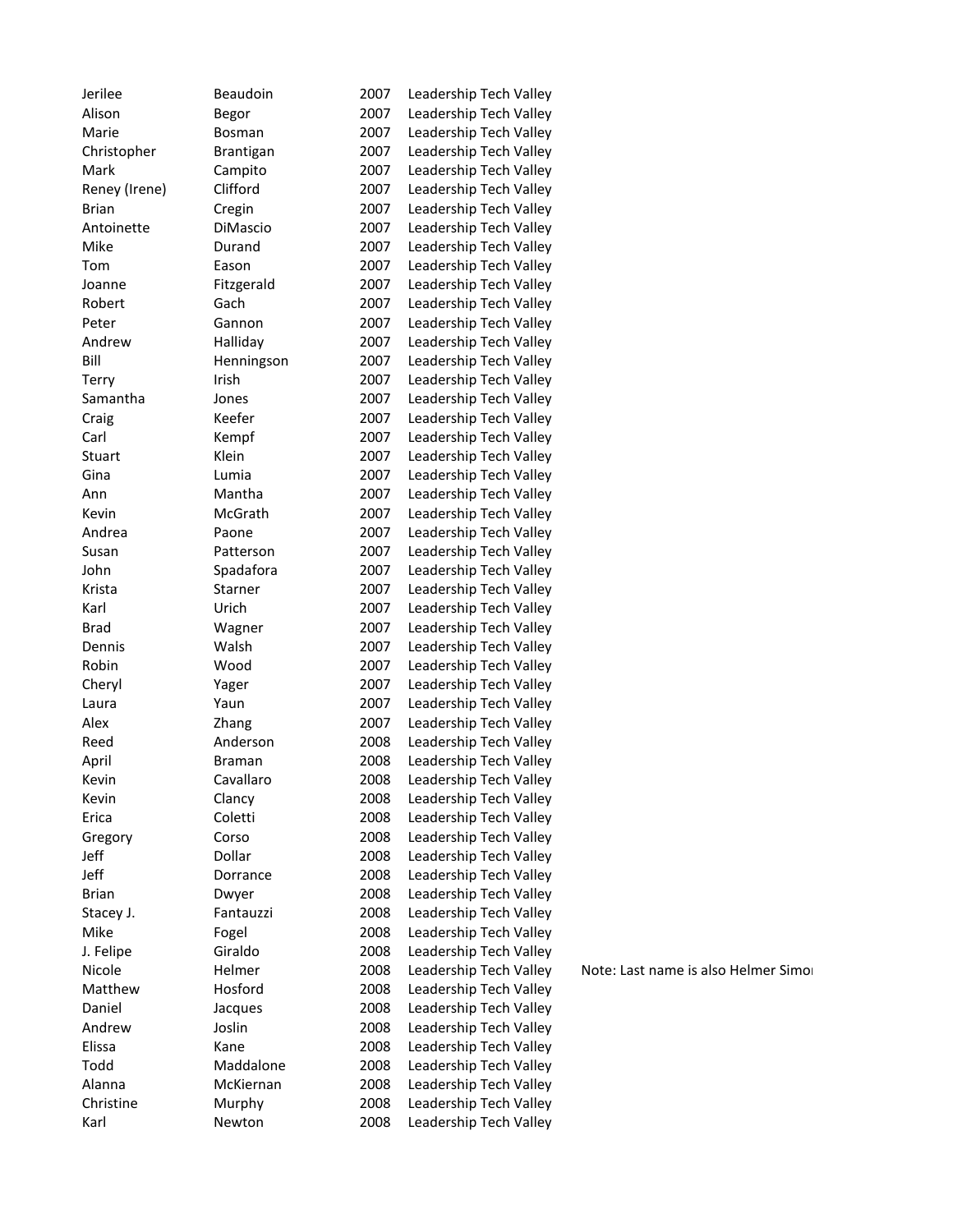| Jerilee       | Beaudoin         | 2007 | Leadership Tech Valley |
|---------------|------------------|------|------------------------|
| Alison        | Begor            | 2007 | Leadership Tech Valley |
| Marie         | Bosman           | 2007 | Leadership Tech Valley |
| Christopher   | <b>Brantigan</b> | 2007 | Leadership Tech Valley |
| Mark          | Campito          | 2007 | Leadership Tech Valley |
| Reney (Irene) | Clifford         | 2007 | Leadership Tech Valley |
| <b>Brian</b>  | Cregin           | 2007 | Leadership Tech Valley |
| Antoinette    | DiMascio         | 2007 | Leadership Tech Valley |
| Mike          | Durand           | 2007 | Leadership Tech Valley |
| Tom           | Eason            | 2007 | Leadership Tech Valley |
| Joanne        | Fitzgerald       | 2007 | Leadership Tech Valley |
| Robert        | Gach             | 2007 | Leadership Tech Valley |
| Peter         | Gannon           | 2007 | Leadership Tech Valley |
| Andrew        | Halliday         | 2007 | Leadership Tech Valley |
| Bill          | Henningson       | 2007 | Leadership Tech Valley |
| Terry         | Irish            | 2007 | Leadership Tech Valley |
| Samantha      | Jones            | 2007 | Leadership Tech Valley |
| Craig         | Keefer           | 2007 | Leadership Tech Valley |
| Carl          | Kempf            | 2007 | Leadership Tech Valley |
| Stuart        | Klein            | 2007 | Leadership Tech Valley |
| Gina          | Lumia            | 2007 | Leadership Tech Valley |
| Ann           | Mantha           | 2007 | Leadership Tech Valley |
| Kevin         | McGrath          | 2007 | Leadership Tech Valley |
| Andrea        | Paone            | 2007 | Leadership Tech Valley |
| Susan         | Patterson        | 2007 | Leadership Tech Valley |
| John          | Spadafora        | 2007 | Leadership Tech Valley |
| Krista        | Starner          | 2007 | Leadership Tech Valley |
| Karl          | Urich            | 2007 | Leadership Tech Valley |
| <b>Brad</b>   | Wagner           | 2007 | Leadership Tech Valley |
| Dennis        | Walsh            | 2007 | Leadership Tech Valley |
| Robin         | Wood             | 2007 | Leadership Tech Valley |
| Cheryl        | Yager            | 2007 | Leadership Tech Valley |
| Laura         | Yaun             | 2007 | Leadership Tech Valley |
| Alex          | Zhang            | 2007 | Leadership Tech Valley |
| Reed          | Anderson         | 2008 | Leadership Tech Valley |
| April         | Braman           | 2008 | Leadership Tech Valley |
| Kevin         | Cavallaro        | 2008 | Leadership Tech Valley |
|               |                  |      |                        |
| Kevin         | Clancy           | 2008 | Leadership Tech Valley |
| Erica         | Coletti          | 2008 | Leadership Tech Valley |
| Gregory       | Corso<br>Dollar  | 2008 | Leadership Tech Valley |
| Jeff          |                  | 2008 | Leadership Tech Valley |
| Jeff          | Dorrance         | 2008 | Leadership Tech Valley |
| <b>Brian</b>  | Dwyer            | 2008 | Leadership Tech Valley |
| Stacey J.     | Fantauzzi        | 2008 | Leadership Tech Valley |
| Mike          | Fogel            | 2008 | Leadership Tech Valley |
| J. Felipe     | Giraldo          | 2008 | Leadership Tech Valley |
| Nicole        | Helmer           | 2008 | Leadership Tech Valley |
| Matthew       | Hosford          | 2008 | Leadership Tech Valley |
| Daniel        | Jacques          | 2008 | Leadership Tech Valley |
| Andrew        | Joslin           | 2008 | Leadership Tech Valley |
| Elissa        | Kane             | 2008 | Leadership Tech Valley |
| Todd          | Maddalone        | 2008 | Leadership Tech Valley |
| Alanna        | McKiernan        | 2008 | Leadership Tech Valley |
| Christine     | Murphy           | 2008 | Leadership Tech Valley |
| Karl          | Newton           | 2008 | Leadership Tech Valley |
|               |                  |      |                        |

Note: Last name is also Helmer Simon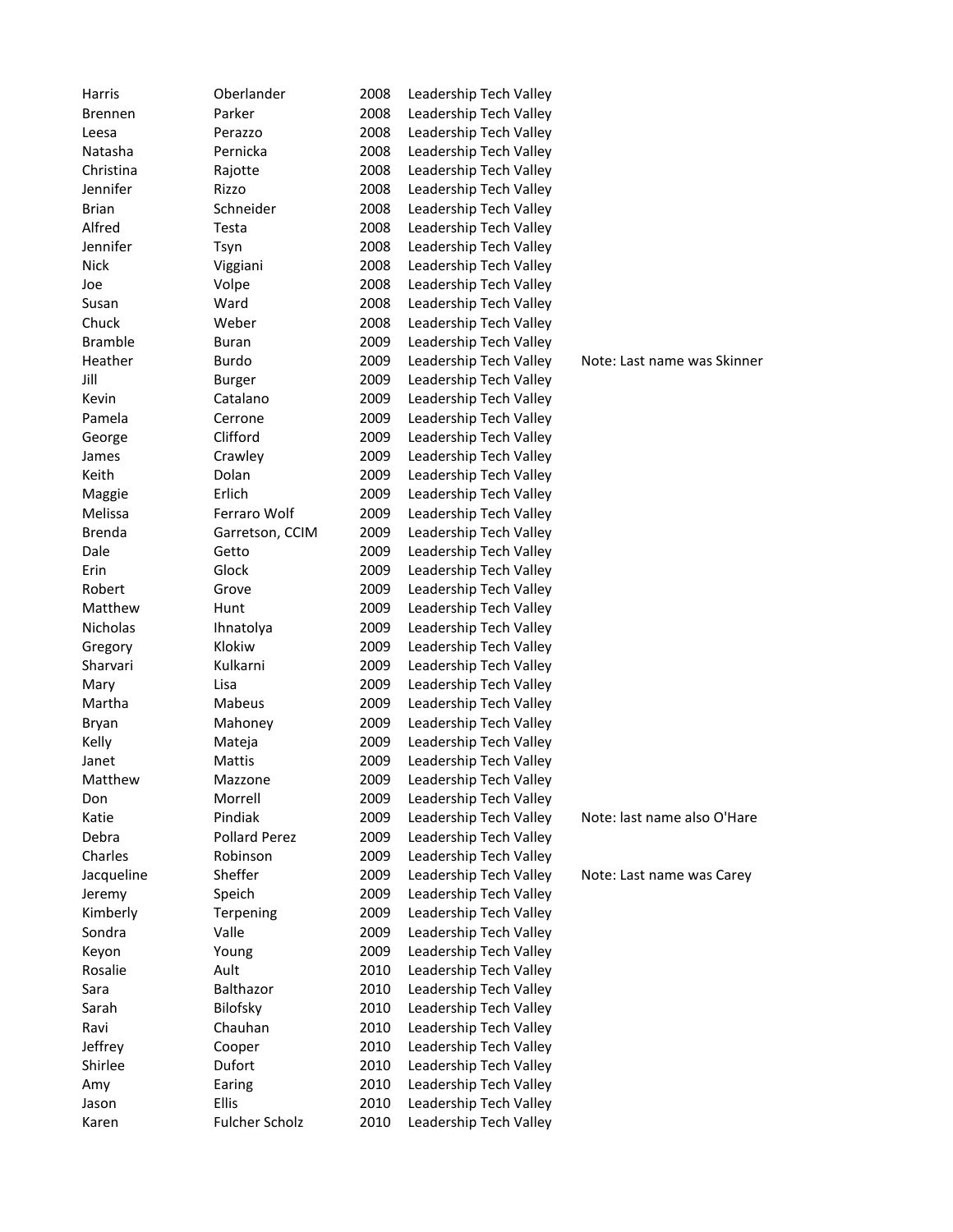| Harris           | Oberlander            | 2008 | Leadership Tech Valley |                             |
|------------------|-----------------------|------|------------------------|-----------------------------|
| <b>Brennen</b>   | Parker                | 2008 | Leadership Tech Valley |                             |
| Leesa            | Perazzo               | 2008 | Leadership Tech Valley |                             |
| Natasha          | Pernicka              | 2008 | Leadership Tech Valley |                             |
| Christina        | Rajotte               | 2008 | Leadership Tech Valley |                             |
| Jennifer         | Rizzo                 | 2008 | Leadership Tech Valley |                             |
| <b>Brian</b>     | Schneider             | 2008 | Leadership Tech Valley |                             |
| Alfred           | Testa                 | 2008 | Leadership Tech Valley |                             |
| Jennifer         | Tsyn                  | 2008 | Leadership Tech Valley |                             |
| <b>Nick</b>      | Viggiani              | 2008 | Leadership Tech Valley |                             |
| Joe              | Volpe                 | 2008 | Leadership Tech Valley |                             |
| Susan            | Ward                  | 2008 | Leadership Tech Valley |                             |
| Chuck            | Weber                 | 2008 | Leadership Tech Valley |                             |
| <b>Bramble</b>   | <b>Buran</b>          | 2009 | Leadership Tech Valley |                             |
| Heather          | Burdo                 | 2009 | Leadership Tech Valley | Note: Last name was Skinner |
| Jill             | <b>Burger</b>         | 2009 | Leadership Tech Valley |                             |
| Kevin            | Catalano              | 2009 | Leadership Tech Valley |                             |
| Pamela           | Cerrone               | 2009 | Leadership Tech Valley |                             |
| George           | Clifford              | 2009 | Leadership Tech Valley |                             |
| James            | Crawley               | 2009 | Leadership Tech Valley |                             |
| Keith            | Dolan                 | 2009 | Leadership Tech Valley |                             |
| Maggie           | Erlich                | 2009 | Leadership Tech Valley |                             |
| Melissa          | Ferraro Wolf          | 2009 | Leadership Tech Valley |                             |
| <b>Brenda</b>    | Garretson, CCIM       | 2009 | Leadership Tech Valley |                             |
| Dale             | Getto                 | 2009 | Leadership Tech Valley |                             |
| Erin             | Glock                 | 2009 | Leadership Tech Valley |                             |
| Robert           | Grove                 | 2009 | Leadership Tech Valley |                             |
| Matthew          | Hunt                  | 2009 | Leadership Tech Valley |                             |
| Nicholas         | Ihnatolya             | 2009 | Leadership Tech Valley |                             |
| Gregory          | Klokiw                | 2009 | Leadership Tech Valley |                             |
| Sharvari         | Kulkarni              | 2009 | Leadership Tech Valley |                             |
| Mary             | Lisa                  | 2009 | Leadership Tech Valley |                             |
| Martha           | Mabeus                | 2009 | Leadership Tech Valley |                             |
| Bryan            | Mahoney               | 2009 | Leadership Tech Valley |                             |
| Kelly            | Mateja                | 2009 | Leadership Tech Valley |                             |
| Janet            | Mattis                | 2009 | Leadership Tech Valley |                             |
| Matthew          | Mazzone               | 2009 | Leadership Tech Valley |                             |
| Don              | Morrell               | 2009 | Leadership Tech Valley |                             |
| Katie            | Pindiak               | 2009 | Leadership Tech Valley | Note: last name also O'Hare |
| Debra            | <b>Pollard Perez</b>  | 2009 | Leadership Tech Valley |                             |
| Charles          | Robinson              | 2009 | Leadership Tech Valley |                             |
| Jacqueline       | Sheffer               | 2009 | Leadership Tech Valley | Note: Last name was Carey   |
| Jeremy           | Speich                | 2009 | Leadership Tech Valley |                             |
| Kimberly         | Terpening             | 2009 | Leadership Tech Valley |                             |
| Sondra           | Valle                 | 2009 | Leadership Tech Valley |                             |
|                  |                       | 2009 | Leadership Tech Valley |                             |
| Keyon<br>Rosalie | Young                 |      |                        |                             |
|                  | Ault                  | 2010 | Leadership Tech Valley |                             |
| Sara             | Balthazor             | 2010 | Leadership Tech Valley |                             |
| Sarah            | Bilofsky              | 2010 | Leadership Tech Valley |                             |
| Ravi             | Chauhan               | 2010 | Leadership Tech Valley |                             |
| Jeffrey          | Cooper                | 2010 | Leadership Tech Valley |                             |
| Shirlee          | Dufort                | 2010 | Leadership Tech Valley |                             |
| Amy              | Earing                | 2010 | Leadership Tech Valley |                             |
| Jason            | Ellis                 | 2010 | Leadership Tech Valley |                             |
| Karen            | <b>Fulcher Scholz</b> | 2010 | Leadership Tech Valley |                             |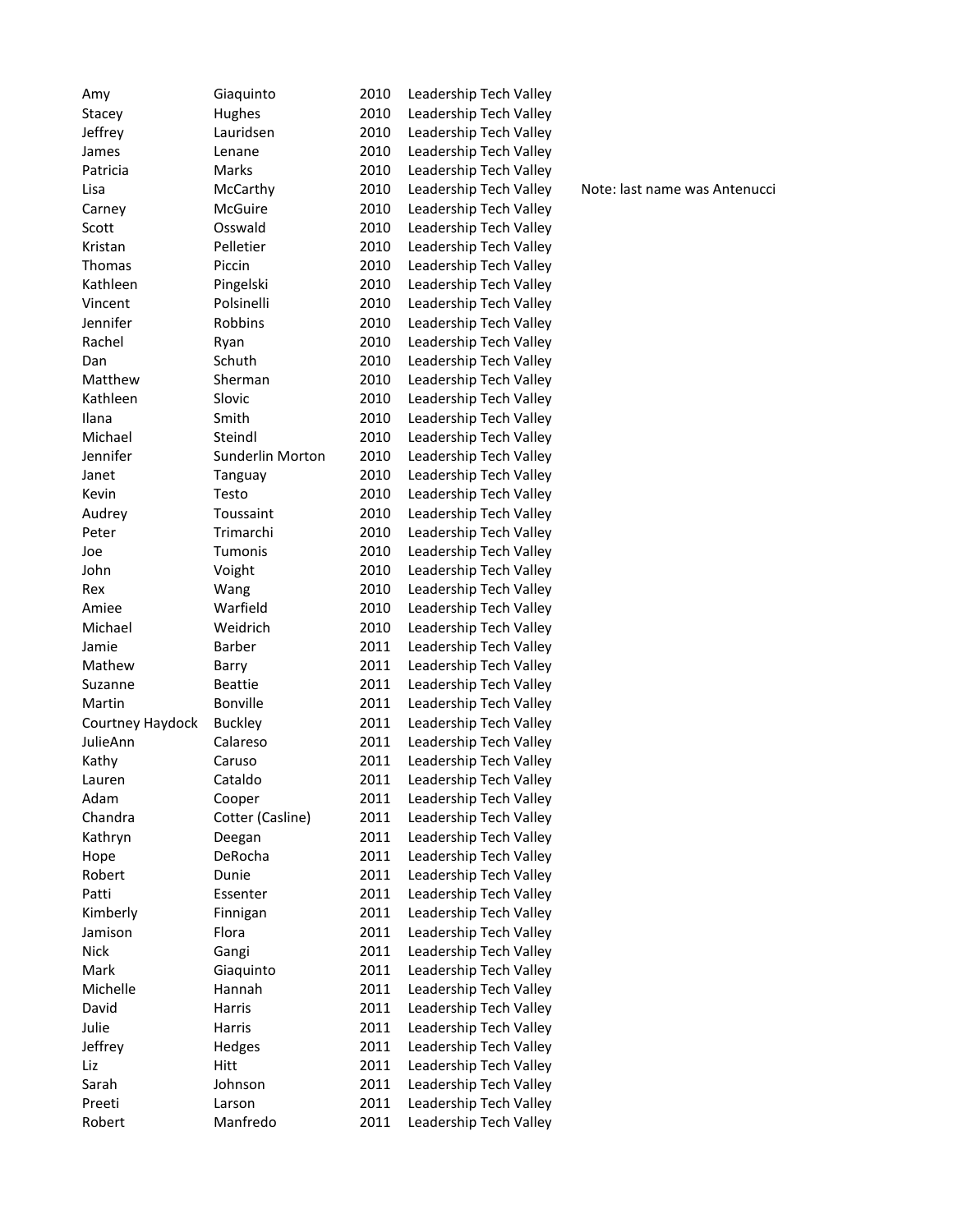| Amy              | Giaquinto        | 2010 | Leadership Tech Valley |
|------------------|------------------|------|------------------------|
| Stacey           | Hughes           | 2010 | Leadership Tech Valley |
| Jeffrey          | Lauridsen        | 2010 | Leadership Tech Valley |
| James            | Lenane           | 2010 | Leadership Tech Valley |
| Patricia         | Marks            | 2010 | Leadership Tech Valley |
| Lisa             | McCarthy         | 2010 | Leadership Tech Valley |
| Carney           | McGuire          | 2010 | Leadership Tech Valley |
| Scott            | Osswald          | 2010 | Leadership Tech Valley |
| Kristan          | Pelletier        | 2010 | Leadership Tech Valley |
| Thomas           | Piccin           | 2010 | Leadership Tech Valley |
| Kathleen         | Pingelski        | 2010 | Leadership Tech Valley |
| Vincent          | Polsinelli       | 2010 | Leadership Tech Valley |
| Jennifer         | Robbins          | 2010 | Leadership Tech Valley |
| Rachel           | Ryan             | 2010 | Leadership Tech Valley |
| Dan              | Schuth           | 2010 | Leadership Tech Valley |
| Matthew          | Sherman          | 2010 | Leadership Tech Valley |
| Kathleen         | Slovic           | 2010 | Leadership Tech Valley |
| Ilana            | Smith            | 2010 | Leadership Tech Valley |
| Michael          | Steindl          | 2010 | Leadership Tech Valley |
| Jennifer         | Sunderlin Morton | 2010 | Leadership Tech Valley |
| Janet            | Tanguay          | 2010 | Leadership Tech Valley |
| Kevin            | Testo            | 2010 | Leadership Tech Valley |
| Audrey           | Toussaint        | 2010 | Leadership Tech Valley |
| Peter            | Trimarchi        | 2010 | Leadership Tech Valley |
| Joe              | Tumonis          | 2010 | Leadership Tech Valley |
| John             | Voight           | 2010 | Leadership Tech Valley |
| Rex              | Wang             | 2010 | Leadership Tech Valley |
| Amiee            | Warfield         | 2010 | Leadership Tech Valley |
| Michael          | Weidrich         | 2010 | Leadership Tech Valley |
| Jamie            | Barber           | 2011 | Leadership Tech Valley |
| Mathew           | Barry            | 2011 | Leadership Tech Valley |
| Suzanne          | <b>Beattie</b>   | 2011 | Leadership Tech Valley |
| Martin           | Bonville         | 2011 | Leadership Tech Valley |
| Courtney Haydock | <b>Buckley</b>   | 2011 | Leadership Tech Valley |
| JulieAnn         | Calareso         | 2011 | Leadership Tech Valley |
| Kathy            | Caruso           | 2011 | Leadership Tech Valley |
| Lauren           | Cataldo          | 2011 | Leadership Tech Valley |
| Adam             | Cooper           | 2011 | Leadership Tech Valley |
| Chandra          | Cotter (Casline) | 2011 | Leadership Tech Valley |
| Kathryn          | Deegan           | 2011 | Leadership Tech Valley |
| Hope             | DeRocha          | 2011 | Leadership Tech Valley |
| Robert           | Dunie            | 2011 | Leadership Tech Valley |
| Patti            | Essenter         | 2011 | Leadership Tech Valley |
| Kimberly         | Finnigan         | 2011 | Leadership Tech Valley |
| Jamison          | Flora            | 2011 | Leadership Tech Valley |
| <b>Nick</b>      | Gangi            | 2011 | Leadership Tech Valley |
| Mark             | Giaquinto        | 2011 | Leadership Tech Valley |
| Michelle         | Hannah           | 2011 | Leadership Tech Valley |
| David            | Harris           | 2011 | Leadership Tech Valley |
| Julie            | Harris           | 2011 | Leadership Tech Valley |
| Jeffrey          | Hedges           | 2011 | Leadership Tech Valley |
| Liz              | Hitt             | 2011 | Leadership Tech Valley |
| Sarah            | Johnson          | 2011 | Leadership Tech Valley |
| Preeti           | Larson           | 2011 | Leadership Tech Valley |
| Robert           | Manfredo         | 2011 | Leadership Tech Valley |

Note: last name was Antenucci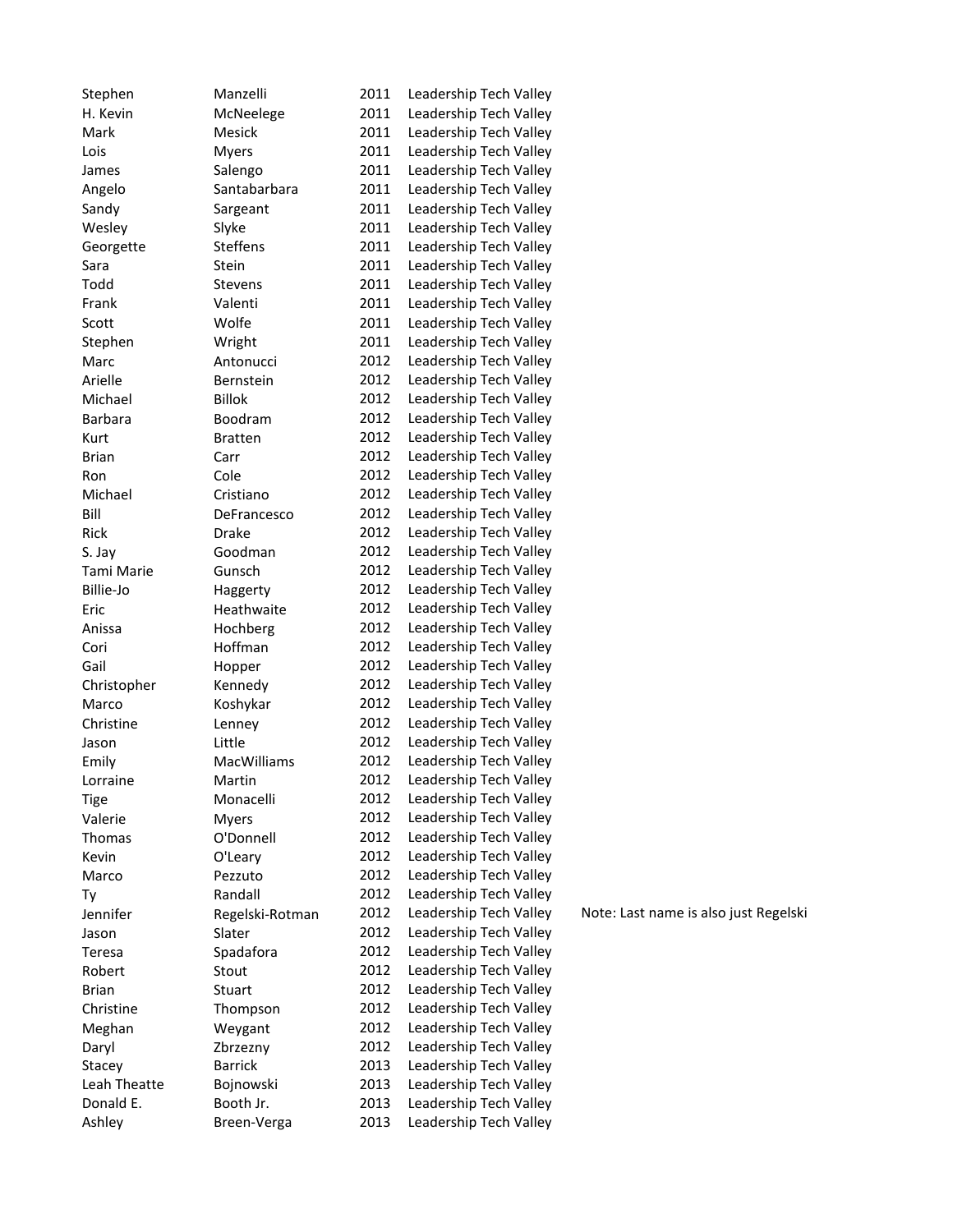| Donald E.      | Bojnowski<br>Booth Jr. | 2013<br>2013 | Leadership Tech Valley<br>Leadership Tech Valley |
|----------------|------------------------|--------------|--------------------------------------------------|
|                |                        |              |                                                  |
| Leah Theatte   |                        |              |                                                  |
| Stacey         | <b>Barrick</b>         | 2013         | Leadership Tech Valley                           |
| Daryl          | Zbrzezny               | 2012         | Leadership Tech Valley                           |
| Meghan         | Weygant                | 2012         | Leadership Tech Valley                           |
| Christine      | Thompson               | 2012         | Leadership Tech Valley                           |
| <b>Brian</b>   | Stuart                 | 2012         | Leadership Tech Valley                           |
| Robert         | Stout                  | 2012         | Leadership Tech Valley                           |
| Teresa         | Spadafora              | 2012         | Leadership Tech Valley                           |
| Jason          | Slater                 | 2012         | Leadership Tech Valley                           |
| Jennifer       | Regelski-Rotman        | 2012         | Leadership Tech Valley                           |
| Τy             | Randall                | 2012         | Leadership Tech Valley                           |
| Marco          | Pezzuto                | 2012         | Leadership Tech Valley                           |
| Kevin          | O'Leary                | 2012         | Leadership Tech Valley                           |
| Thomas         | O'Donnell              | 2012         | Leadership Tech Valley                           |
| Valerie        | <b>Myers</b>           | 2012         | Leadership Tech Valley                           |
| Tige           | Monacelli              | 2012         | Leadership Tech Valley                           |
| Lorraine       | Martin                 | 2012         | Leadership Tech Valley                           |
| Emily          | MacWilliams            | 2012         | Leadership Tech Valley                           |
| Jason          | Little                 | 2012         | Leadership Tech Valley                           |
| Christine      | Lenney                 | 2012         | Leadership Tech Valley                           |
| Marco          | Koshykar               | 2012         | Leadership Tech Valley                           |
| Christopher    | Kennedy                | 2012         | Leadership Tech Valley                           |
| Gail           | Hopper                 | 2012         | Leadership Tech Valley                           |
| Cori           | Hoffman                | 2012         | Leadership Tech Valley                           |
| Anissa         | Hochberg               | 2012         | Leadership Tech Valley                           |
| Eric           | Heathwaite             | 2012         | Leadership Tech Valley                           |
| Billie-Jo      | Haggerty               | 2012         | Leadership Tech Valley                           |
| Tami Marie     | Gunsch                 | 2012         | Leadership Tech Valley                           |
| S. Jay         |                        |              |                                                  |
|                | Goodman                | 2012         | Leadership Tech Valley                           |
| Rick           | Drake                  | 2012         | Leadership Tech Valley                           |
| Bill           | DeFrancesco            | 2012         | Leadership Tech Valley                           |
| Michael        | Cristiano              | 2012         | Leadership Tech Valley                           |
| Ron            | Cole                   | 2012         | Leadership Tech Valley                           |
| Brian          | Carr                   | 2012         | Leadership Tech Valley                           |
| Kurt           | <b>Bratten</b>         | 2012         | Leadership Tech Valley                           |
| <b>Barbara</b> | Boodram                | 2012         | Leadership Tech Valley                           |
| Michael        | <b>Billok</b>          | 2012         | Leadership Tech Valley                           |
| Arielle        | Bernstein              | 2012         | Leadership Tech Valley                           |
| Marc           | Antonucci              | 2012         | Leadership Tech Valley                           |
| Stephen        | Wright                 | 2011         | Leadership Tech Valley                           |
| Scott          | Wolfe                  | 2011         | Leadership Tech Valley                           |
| Frank          | Valenti                | 2011         | Leadership Tech Valley                           |
| Todd           | Stevens                | 2011         | Leadership Tech Valley                           |
| Sara           | Stein                  | 2011         | Leadership Tech Valley                           |
| Georgette      | <b>Steffens</b>        | 2011         | Leadership Tech Valley                           |
| Wesley         | Slyke                  | 2011         | Leadership Tech Valley                           |
| Sandy          | Sargeant               | 2011         | Leadership Tech Valley                           |
| Angelo         | Santabarbara           | 2011         | Leadership Tech Valley                           |
| James          | Salengo                | 2011         | Leadership Tech Valley                           |
| Lois           | <b>Myers</b>           | 2011         | Leadership Tech Valley                           |
| Mark           | Mesick                 | 2011         | Leadership Tech Valley                           |
| H. Kevin       | McNeelege              | 2011         | Leadership Tech Valley                           |
| Stephen        | Manzelli               | 2011         | Leadership Tech Valley                           |

Note: Last name is also just Regelski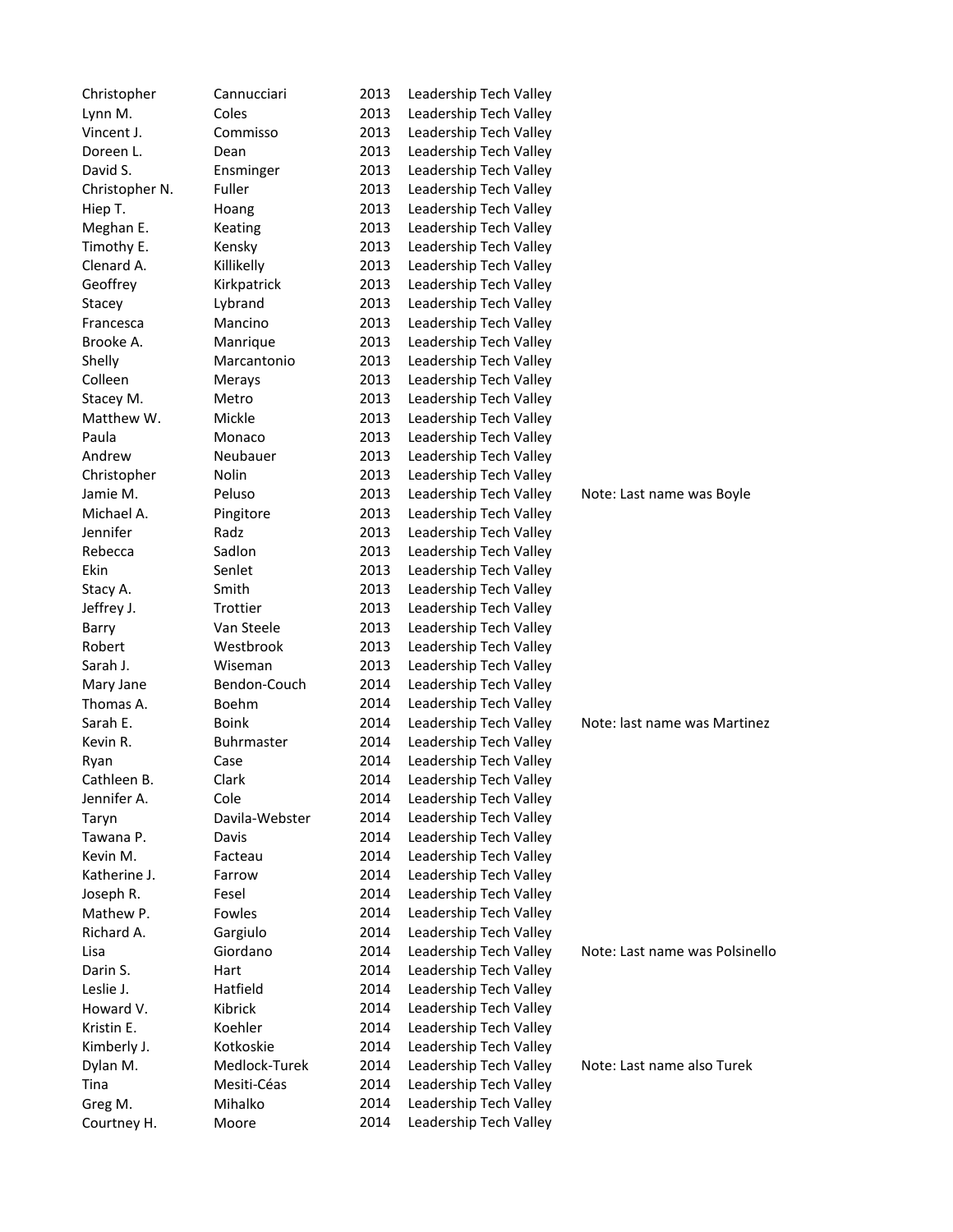| Christopher    | Cannucciari    | 2013 | Leadership Tech Valley |                                |
|----------------|----------------|------|------------------------|--------------------------------|
| Lynn M.        | Coles          | 2013 | Leadership Tech Valley |                                |
| Vincent J.     | Commisso       | 2013 | Leadership Tech Valley |                                |
| Doreen L.      | Dean           | 2013 | Leadership Tech Valley |                                |
| David S.       | Ensminger      | 2013 | Leadership Tech Valley |                                |
| Christopher N. | Fuller         | 2013 | Leadership Tech Valley |                                |
| Hiep T.        | Hoang          | 2013 | Leadership Tech Valley |                                |
| Meghan E.      | Keating        | 2013 | Leadership Tech Valley |                                |
| Timothy E.     | Kensky         | 2013 | Leadership Tech Valley |                                |
| Clenard A.     | Killikelly     | 2013 | Leadership Tech Valley |                                |
| Geoffrey       | Kirkpatrick    | 2013 | Leadership Tech Valley |                                |
| Stacey         | Lybrand        | 2013 | Leadership Tech Valley |                                |
| Francesca      | Mancino        | 2013 | Leadership Tech Valley |                                |
| Brooke A.      | Manrique       | 2013 | Leadership Tech Valley |                                |
| Shelly         | Marcantonio    | 2013 | Leadership Tech Valley |                                |
| Colleen        | Merays         | 2013 | Leadership Tech Valley |                                |
| Stacey M.      | Metro          | 2013 | Leadership Tech Valley |                                |
| Matthew W.     | Mickle         | 2013 | Leadership Tech Valley |                                |
| Paula          | Monaco         | 2013 | Leadership Tech Valley |                                |
| Andrew         | Neubauer       | 2013 | Leadership Tech Valley |                                |
| Christopher    | Nolin          | 2013 | Leadership Tech Valley |                                |
| Jamie M.       | Peluso         | 2013 | Leadership Tech Valley | Note: Last name was Boyle      |
| Michael A.     | Pingitore      | 2013 | Leadership Tech Valley |                                |
| Jennifer       | Radz           | 2013 | Leadership Tech Valley |                                |
| Rebecca        | Sadlon         | 2013 | Leadership Tech Valley |                                |
| Ekin           | Senlet         | 2013 | Leadership Tech Valley |                                |
| Stacy A.       | Smith          | 2013 | Leadership Tech Valley |                                |
| Jeffrey J.     | Trottier       | 2013 | Leadership Tech Valley |                                |
| Barry          | Van Steele     | 2013 | Leadership Tech Valley |                                |
| Robert         | Westbrook      | 2013 | Leadership Tech Valley |                                |
| Sarah J.       | Wiseman        | 2013 | Leadership Tech Valley |                                |
| Mary Jane      | Bendon-Couch   | 2014 | Leadership Tech Valley |                                |
| Thomas A.      | Boehm          | 2014 | Leadership Tech Valley |                                |
| Sarah E.       | <b>Boink</b>   | 2014 | Leadership Tech Valley | Note: last name was Martinez   |
| Kevin R.       | Buhrmaster     | 2014 | Leadership Tech Valley |                                |
| Ryan           | Case           | 2014 | Leadership Tech Valley |                                |
| Cathleen B.    | Clark          | 2014 | Leadership Tech Valley |                                |
| Jennifer A.    | Cole           | 2014 | Leadership Tech Valley |                                |
| Taryn          | Davila-Webster | 2014 | Leadership Tech Valley |                                |
| Tawana P.      | Davis          | 2014 | Leadership Tech Valley |                                |
| Kevin M.       | Facteau        | 2014 | Leadership Tech Valley |                                |
| Katherine J.   | Farrow         | 2014 | Leadership Tech Valley |                                |
| Joseph R.      | Fesel          | 2014 | Leadership Tech Valley |                                |
| Mathew P.      | Fowles         | 2014 | Leadership Tech Valley |                                |
| Richard A.     | Gargiulo       | 2014 | Leadership Tech Valley |                                |
| Lisa           | Giordano       | 2014 | Leadership Tech Valley | Note: Last name was Polsinello |
| Darin S.       | Hart           | 2014 | Leadership Tech Valley |                                |
| Leslie J.      | Hatfield       | 2014 | Leadership Tech Valley |                                |
| Howard V.      | Kibrick        | 2014 | Leadership Tech Valley |                                |
| Kristin E.     | Koehler        | 2014 | Leadership Tech Valley |                                |
| Kimberly J.    | Kotkoskie      | 2014 | Leadership Tech Valley |                                |
| Dylan M.       | Medlock-Turek  | 2014 | Leadership Tech Valley | Note: Last name also Turek     |
| Tina           | Mesiti-Céas    | 2014 | Leadership Tech Valley |                                |
| Greg M.        | Mihalko        | 2014 | Leadership Tech Valley |                                |
| Courtney H.    | Moore          | 2014 | Leadership Tech Valley |                                |
|                |                |      |                        |                                |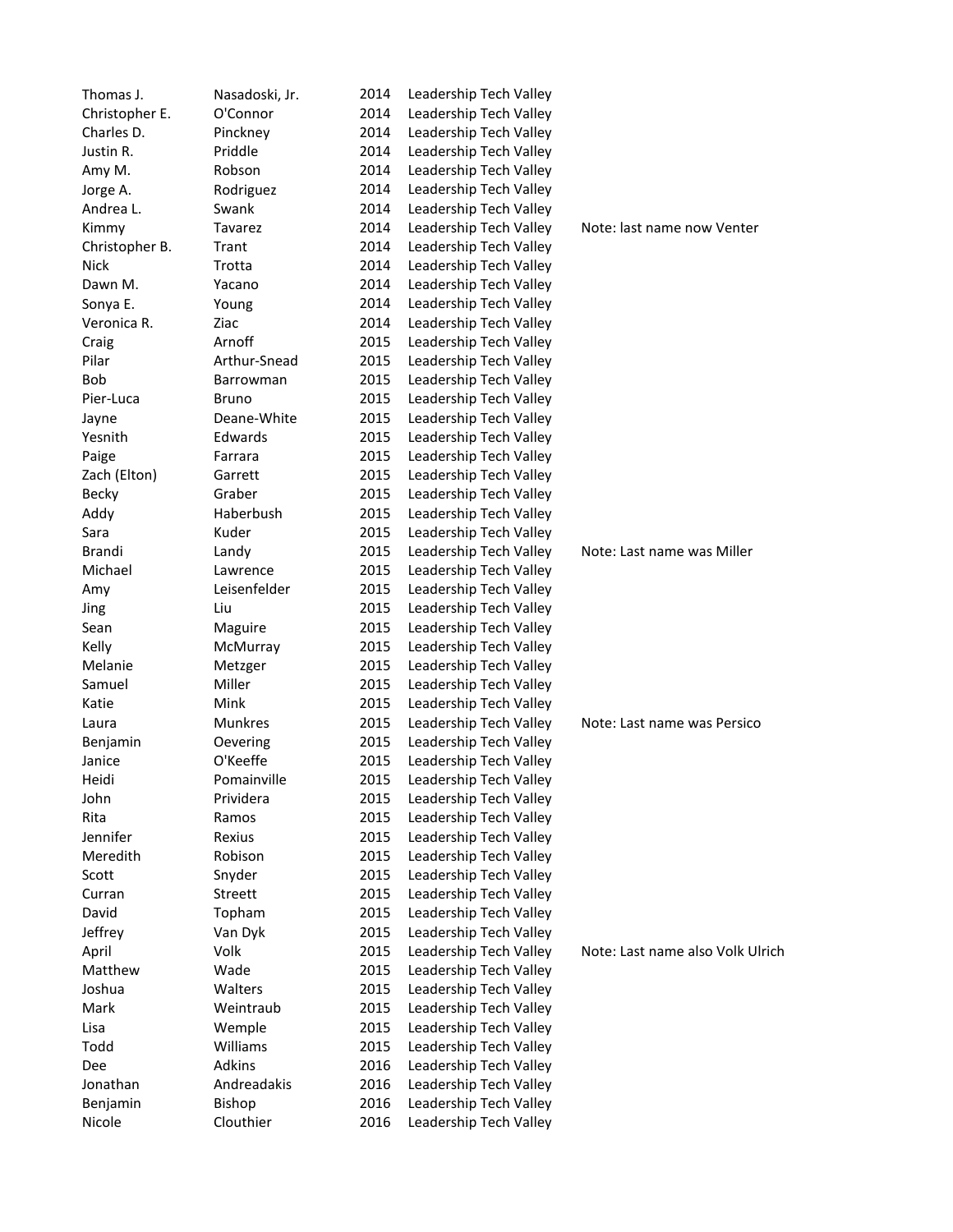| Thomas J.      | Nasadoski, Jr. | 2014         | Leadership Tech Valley |                                  |
|----------------|----------------|--------------|------------------------|----------------------------------|
| Christopher E. | O'Connor       | 2014         | Leadership Tech Valley |                                  |
| Charles D.     | Pinckney       | 2014         | Leadership Tech Valley |                                  |
| Justin R.      | Priddle        | 2014         | Leadership Tech Valley |                                  |
| Amy M.         | Robson         | 2014         | Leadership Tech Valley |                                  |
| Jorge A.       | Rodriguez      | 2014         | Leadership Tech Valley |                                  |
| Andrea L.      | Swank          | 2014         | Leadership Tech Valley |                                  |
| Kimmy          | Tavarez        | 2014         | Leadership Tech Valley | Note: last name now Venter       |
| Christopher B. | Trant          | 2014         | Leadership Tech Valley |                                  |
| <b>Nick</b>    | Trotta         | 2014         | Leadership Tech Valley |                                  |
| Dawn M.        | Yacano         | 2014         | Leadership Tech Valley |                                  |
| Sonya E.       | Young          | 2014         | Leadership Tech Valley |                                  |
| Veronica R.    | Ziac           | 2014         | Leadership Tech Valley |                                  |
| Craig          | Arnoff         | 2015         | Leadership Tech Valley |                                  |
| Pilar          | Arthur-Snead   | 2015         | Leadership Tech Valley |                                  |
| <b>Bob</b>     | Barrowman      | 2015         | Leadership Tech Valley |                                  |
| Pier-Luca      | Bruno          | 2015         | Leadership Tech Valley |                                  |
| Jayne          | Deane-White    | 2015         | Leadership Tech Valley |                                  |
| Yesnith        | Edwards        | 2015         | Leadership Tech Valley |                                  |
| Paige          | Farrara        | 2015         | Leadership Tech Valley |                                  |
| Zach (Elton)   | Garrett        | 2015         | Leadership Tech Valley |                                  |
| <b>Becky</b>   | Graber         | 2015         | Leadership Tech Valley |                                  |
| Addy           | Haberbush      | 2015         | Leadership Tech Valley |                                  |
| Sara           | Kuder          | 2015         | Leadership Tech Valley |                                  |
| Brandi         | Landy          | 2015         | Leadership Tech Valley | Note: Last name was Miller       |
| Michael        | Lawrence       | 2015         | Leadership Tech Valley |                                  |
| Amy            | Leisenfelder   | 2015         | Leadership Tech Valley |                                  |
| Jing           | Liu            | 2015         | Leadership Tech Valley |                                  |
| Sean           | Maguire        | 2015         | Leadership Tech Valley |                                  |
| Kelly          | McMurray       | 2015         | Leadership Tech Valley |                                  |
| Melanie        | Metzger        | 2015         | Leadership Tech Valley |                                  |
| Samuel         | Miller         | 2015         | Leadership Tech Valley |                                  |
| Katie          | Mink           | 2015         | Leadership Tech Valley |                                  |
| Laura          | <b>Munkres</b> | 2015         | Leadership Tech Valley | Note: Last name was Persico      |
| Benjamin       | Oevering       | 2015         | Leadership Tech Valley |                                  |
| Janice         | O'Keeffe       | 2015         | Leadership Tech Valley |                                  |
| Heidi          | Pomainville    | 2015         | Leadership Tech Valley |                                  |
| John           | Prividera      | 2015         | Leadership Tech Valley |                                  |
| Rita           | Ramos          | 2015         | Leadership Tech Valley |                                  |
| Jennifer       | Rexius         | 2015         | Leadership Tech Valley |                                  |
| Meredith       | Robison        | 2015         | Leadership Tech Valley |                                  |
| Scott          | Snyder         | 2015         | Leadership Tech Valley |                                  |
| Curran         | Streett        | 2015         | Leadership Tech Valley |                                  |
| David          | Topham         | 2015         | Leadership Tech Valley |                                  |
| Jeffrey        | Van Dyk        | 2015         | Leadership Tech Valley |                                  |
| April          | Volk           | 2015         | Leadership Tech Valley | Note: Last name also Volk Ulrich |
| Matthew        | Wade           |              | Leadership Tech Valley |                                  |
| Joshua         | Walters        | 2015<br>2015 | Leadership Tech Valley |                                  |
|                | Weintraub      |              | Leadership Tech Valley |                                  |
| Mark           |                | 2015         |                        |                                  |
| Lisa           | Wemple         | 2015         | Leadership Tech Valley |                                  |
| Todd           | Williams       | 2015         | Leadership Tech Valley |                                  |
| Dee            | Adkins         | 2016         | Leadership Tech Valley |                                  |
| Jonathan       | Andreadakis    | 2016         | Leadership Tech Valley |                                  |
| Benjamin       | Bishop         | 2016         | Leadership Tech Valley |                                  |
| Nicole         | Clouthier      | 2016         | Leadership Tech Valley |                                  |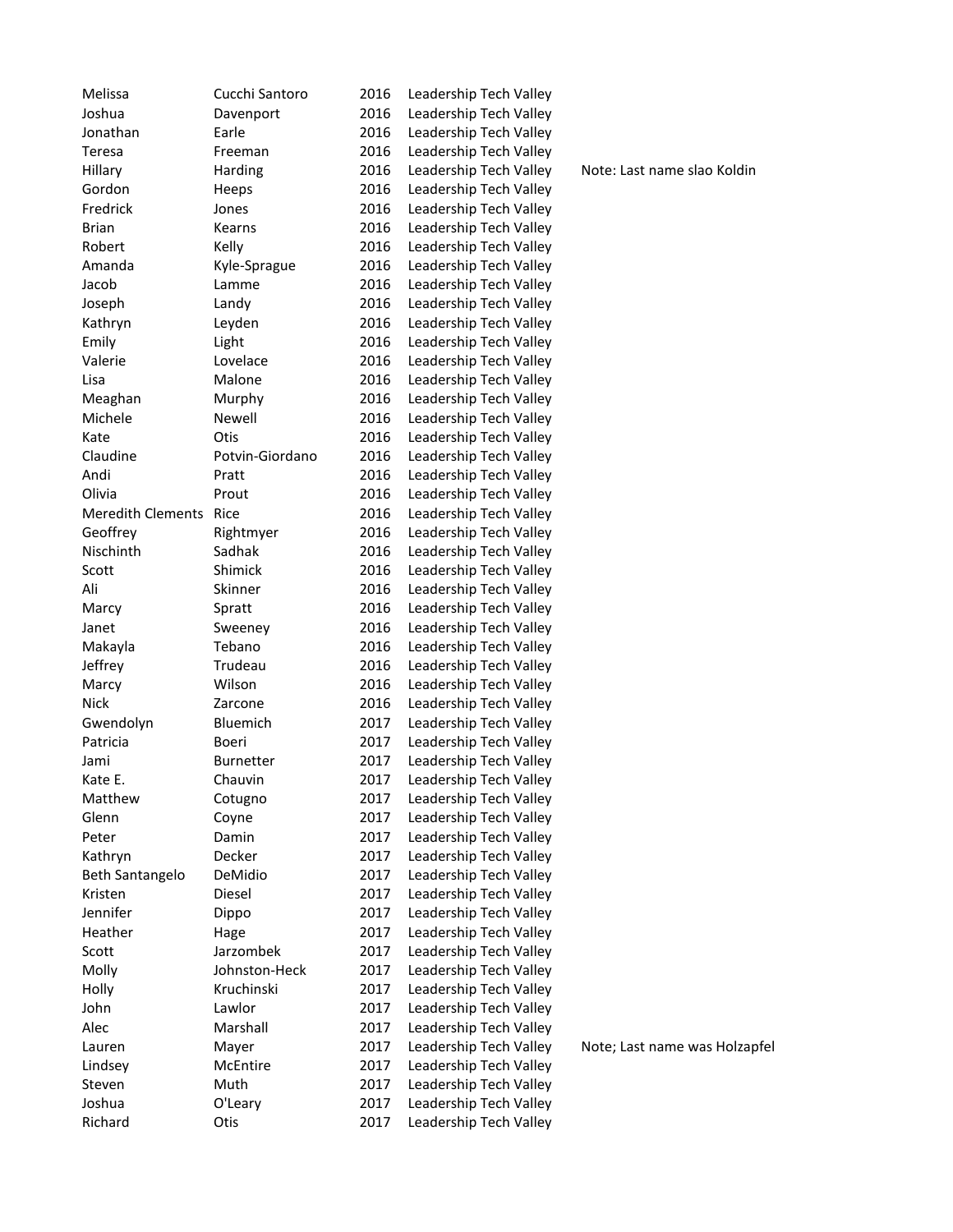| Melissa                  | Cucchi Santoro  | 2016         | Leadership Tech Valley                           |
|--------------------------|-----------------|--------------|--------------------------------------------------|
| Joshua                   | Davenport       | 2016         | Leadership Tech Valley                           |
| Jonathan                 | Earle           | 2016         | Leadership Tech Valley                           |
| Teresa                   | Freeman         | 2016         | Leadership Tech Valley                           |
| Hillary                  | Harding         | 2016         | Leadership Tech Valley                           |
| Gordon                   | Heeps           | 2016         | Leadership Tech Valley                           |
| Fredrick                 | Jones           | 2016         | Leadership Tech Valley                           |
| <b>Brian</b>             | Kearns          | 2016         | Leadership Tech Valley                           |
| Robert                   | Kelly           | 2016         | Leadership Tech Valley                           |
| Amanda                   | Kyle-Sprague    | 2016         | Leadership Tech Valley                           |
| Jacob                    | Lamme           | 2016         | Leadership Tech Valley                           |
| Joseph                   | Landy           | 2016         | Leadership Tech Valley                           |
| Kathryn                  | Leyden          | 2016         | Leadership Tech Valley                           |
| Emily                    | Light           | 2016         | Leadership Tech Valley                           |
| Valerie                  | Lovelace        | 2016         | Leadership Tech Valley                           |
| Lisa                     | Malone          | 2016         | Leadership Tech Valley                           |
| Meaghan                  | Murphy          | 2016         | Leadership Tech Valley                           |
| Michele                  | Newell          | 2016         | Leadership Tech Valley                           |
| Kate                     | Otis            | 2016         | Leadership Tech Valley                           |
| Claudine                 | Potvin-Giordano | 2016         | Leadership Tech Valley                           |
| Andi                     | Pratt           | 2016         | Leadership Tech Valley                           |
| Olivia                   | Prout           | 2016         | Leadership Tech Valley                           |
| <b>Meredith Clements</b> | Rice            | 2016         | Leadership Tech Valley                           |
| Geoffrey                 | Rightmyer       | 2016         | Leadership Tech Valley                           |
| Nischinth                | Sadhak          | 2016         | Leadership Tech Valley                           |
| Scott                    | Shimick         | 2016         | Leadership Tech Valley                           |
| Ali                      | Skinner         | 2016         | Leadership Tech Valley                           |
| Marcy                    | Spratt          | 2016         | Leadership Tech Valley                           |
| Janet                    | Sweeney         | 2016         | Leadership Tech Valley                           |
| Makayla                  | Tebano          | 2016         | Leadership Tech Valley                           |
| Jeffrey                  | Trudeau         | 2016         | Leadership Tech Valley                           |
| Marcy                    | Wilson          | 2016         | Leadership Tech Valley                           |
| <b>Nick</b>              | Zarcone         | 2016         | Leadership Tech Valley                           |
| Gwendolyn                | Bluemich        | 2017         | Leadership Tech Valley                           |
| Patricia                 | Boeri           | 2017         | Leadership Tech Valley                           |
| Jami                     | Burnetter       | 2017         | Leadership Tech Valley                           |
| Kate E.                  | Chauvin         | 2017         | Leadership Tech Valley                           |
| Matthew                  |                 |              |                                                  |
| Glenn                    | Cotugno         | 2017<br>2017 | Leadership Tech Valley                           |
| Peter                    | Coyne<br>Damin  | 2017         | Leadership Tech Valley<br>Leadership Tech Valley |
|                          | Decker          | 2017         | Leadership Tech Valley                           |
| Kathryn                  |                 |              |                                                  |
| <b>Beth Santangelo</b>   | DeMidio         | 2017         | Leadership Tech Valley                           |
| Kristen                  | Diesel          | 2017         | Leadership Tech Valley                           |
| Jennifer                 | Dippo           | 2017         | Leadership Tech Valley                           |
| Heather                  | Hage            | 2017         | Leadership Tech Valley                           |
| Scott                    | Jarzombek       | 2017         | Leadership Tech Valley                           |
| Molly                    | Johnston-Heck   | 2017         | Leadership Tech Valley                           |
| Holly                    | Kruchinski      | 2017         | Leadership Tech Valley                           |
| John                     | Lawlor          | 2017         | Leadership Tech Valley                           |
| Alec                     | Marshall        | 2017         | Leadership Tech Valley                           |
| Lauren                   | Mayer           | 2017         | Leadership Tech Valley                           |
| Lindsey                  | McEntire        | 2017         | Leadership Tech Valley                           |
| Steven                   | Muth            | 2017         | Leadership Tech Valley                           |
| Joshua                   | O'Leary         | 2017         | Leadership Tech Valley                           |
| Richard                  | Otis            | 2017         | Leadership Tech Valley                           |

Note: Last name slao Koldin

Note; Last name was Holzapfel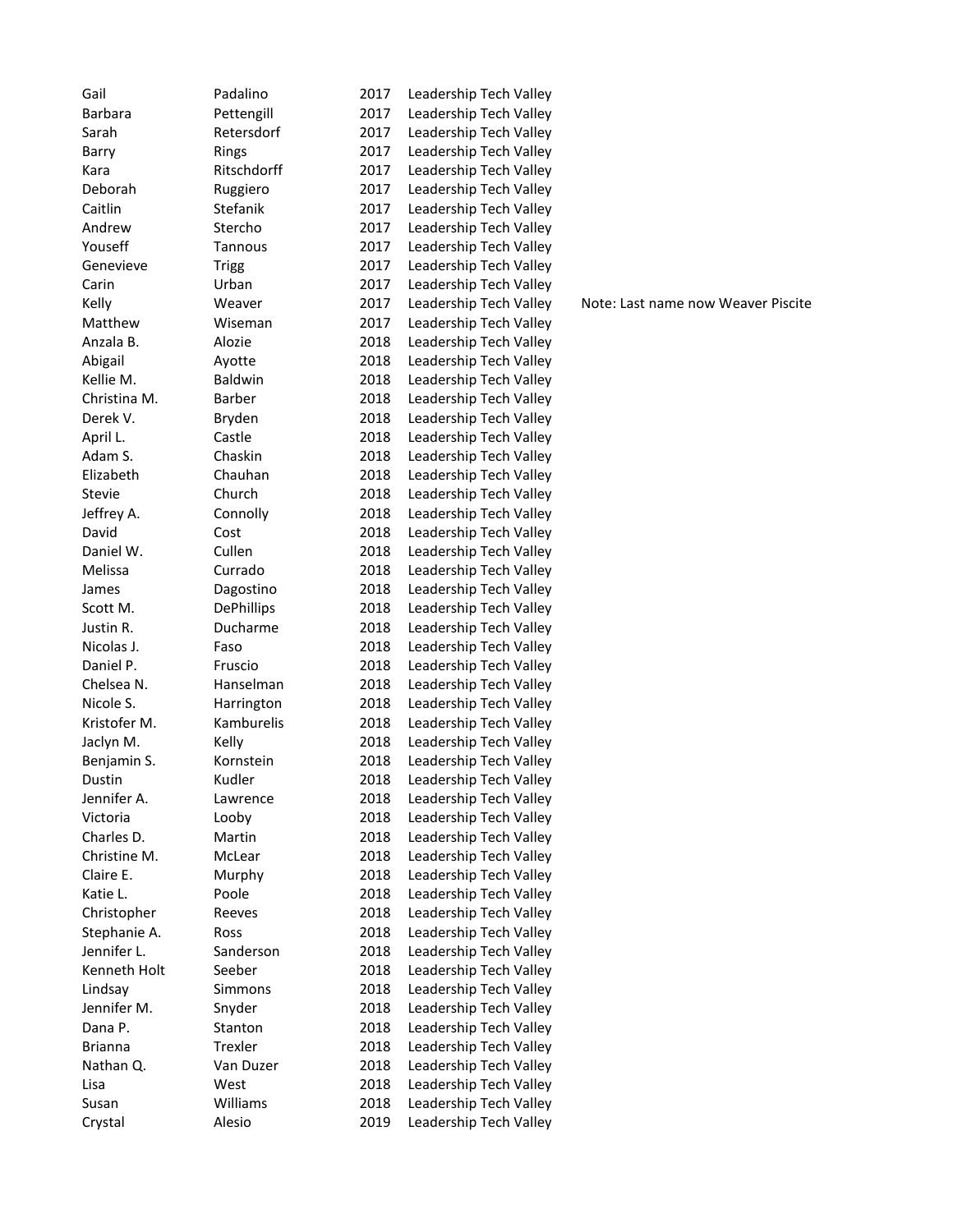| Gail           | Padalino          | 2017 | Leadership Tech Valley |                                    |
|----------------|-------------------|------|------------------------|------------------------------------|
| Barbara        | Pettengill        | 2017 | Leadership Tech Valley |                                    |
| Sarah          | Retersdorf        | 2017 | Leadership Tech Valley |                                    |
| Barry          | Rings             | 2017 | Leadership Tech Valley |                                    |
| Kara           | Ritschdorff       | 2017 | Leadership Tech Valley |                                    |
| Deborah        | Ruggiero          | 2017 | Leadership Tech Valley |                                    |
| Caitlin        | Stefanik          | 2017 | Leadership Tech Valley |                                    |
| Andrew         | Stercho           | 2017 | Leadership Tech Valley |                                    |
| Youseff        | Tannous           | 2017 | Leadership Tech Valley |                                    |
| Genevieve      | <b>Trigg</b>      | 2017 | Leadership Tech Valley |                                    |
| Carin          | Urban             | 2017 | Leadership Tech Valley |                                    |
| Kelly          | Weaver            | 2017 | Leadership Tech Valley | Note: Last name now Weaver Piscite |
| Matthew        | Wiseman           | 2017 | Leadership Tech Valley |                                    |
| Anzala B.      | Alozie            | 2018 | Leadership Tech Valley |                                    |
| Abigail        | Ayotte            | 2018 | Leadership Tech Valley |                                    |
| Kellie M.      | <b>Baldwin</b>    | 2018 | Leadership Tech Valley |                                    |
| Christina M.   | <b>Barber</b>     | 2018 | Leadership Tech Valley |                                    |
| Derek V.       | Bryden            | 2018 | Leadership Tech Valley |                                    |
| April L.       | Castle            | 2018 | Leadership Tech Valley |                                    |
| Adam S.        | Chaskin           | 2018 | Leadership Tech Valley |                                    |
| Elizabeth      | Chauhan           | 2018 | Leadership Tech Valley |                                    |
| <b>Stevie</b>  | Church            | 2018 | Leadership Tech Valley |                                    |
| Jeffrey A.     | Connolly          | 2018 | Leadership Tech Valley |                                    |
| David          | Cost              | 2018 | Leadership Tech Valley |                                    |
| Daniel W.      | Cullen            | 2018 | Leadership Tech Valley |                                    |
| Melissa        | Currado           | 2018 | Leadership Tech Valley |                                    |
| James          | Dagostino         | 2018 | Leadership Tech Valley |                                    |
| Scott M.       | <b>DePhillips</b> | 2018 | Leadership Tech Valley |                                    |
| Justin R.      | Ducharme          | 2018 | Leadership Tech Valley |                                    |
| Nicolas J.     | Faso              | 2018 | Leadership Tech Valley |                                    |
| Daniel P.      | Fruscio           | 2018 | Leadership Tech Valley |                                    |
| Chelsea N.     | Hanselman         | 2018 | Leadership Tech Valley |                                    |
| Nicole S.      | Harrington        | 2018 | Leadership Tech Valley |                                    |
| Kristofer M.   | Kamburelis        | 2018 | Leadership Tech Valley |                                    |
| Jaclyn M.      | Kelly             | 2018 | Leadership Tech Valley |                                    |
| Benjamin S.    | Kornstein         | 2018 | Leadership Tech Valley |                                    |
| Dustin         | Kudler            | 2018 | Leadership Tech Valley |                                    |
| Jennifer A.    | Lawrence          | 2018 | Leadership Tech Valley |                                    |
| Victoria       | Looby             | 2018 | Leadership Tech Valley |                                    |
| Charles D.     | Martin            | 2018 | Leadership Tech Valley |                                    |
| Christine M.   | McLear            | 2018 | Leadership Tech Valley |                                    |
| Claire E.      | Murphy            | 2018 | Leadership Tech Valley |                                    |
| Katie L.       | Poole             | 2018 | Leadership Tech Valley |                                    |
| Christopher    | Reeves            | 2018 | Leadership Tech Valley |                                    |
| Stephanie A.   | Ross              | 2018 | Leadership Tech Valley |                                    |
| Jennifer L.    | Sanderson         | 2018 | Leadership Tech Valley |                                    |
| Kenneth Holt   | Seeber            | 2018 | Leadership Tech Valley |                                    |
| Lindsay        | Simmons           | 2018 | Leadership Tech Valley |                                    |
| Jennifer M.    | Snyder            | 2018 | Leadership Tech Valley |                                    |
| Dana P.        | Stanton           | 2018 | Leadership Tech Valley |                                    |
| <b>Brianna</b> | Trexler           | 2018 | Leadership Tech Valley |                                    |
| Nathan Q.      | Van Duzer         | 2018 | Leadership Tech Valley |                                    |
|                | West              | 2018 | Leadership Tech Valley |                                    |
| Lisa<br>Susan  | Williams          | 2018 | Leadership Tech Valley |                                    |
| Crystal        | Alesio            | 2019 | Leadership Tech Valley |                                    |
|                |                   |      |                        |                                    |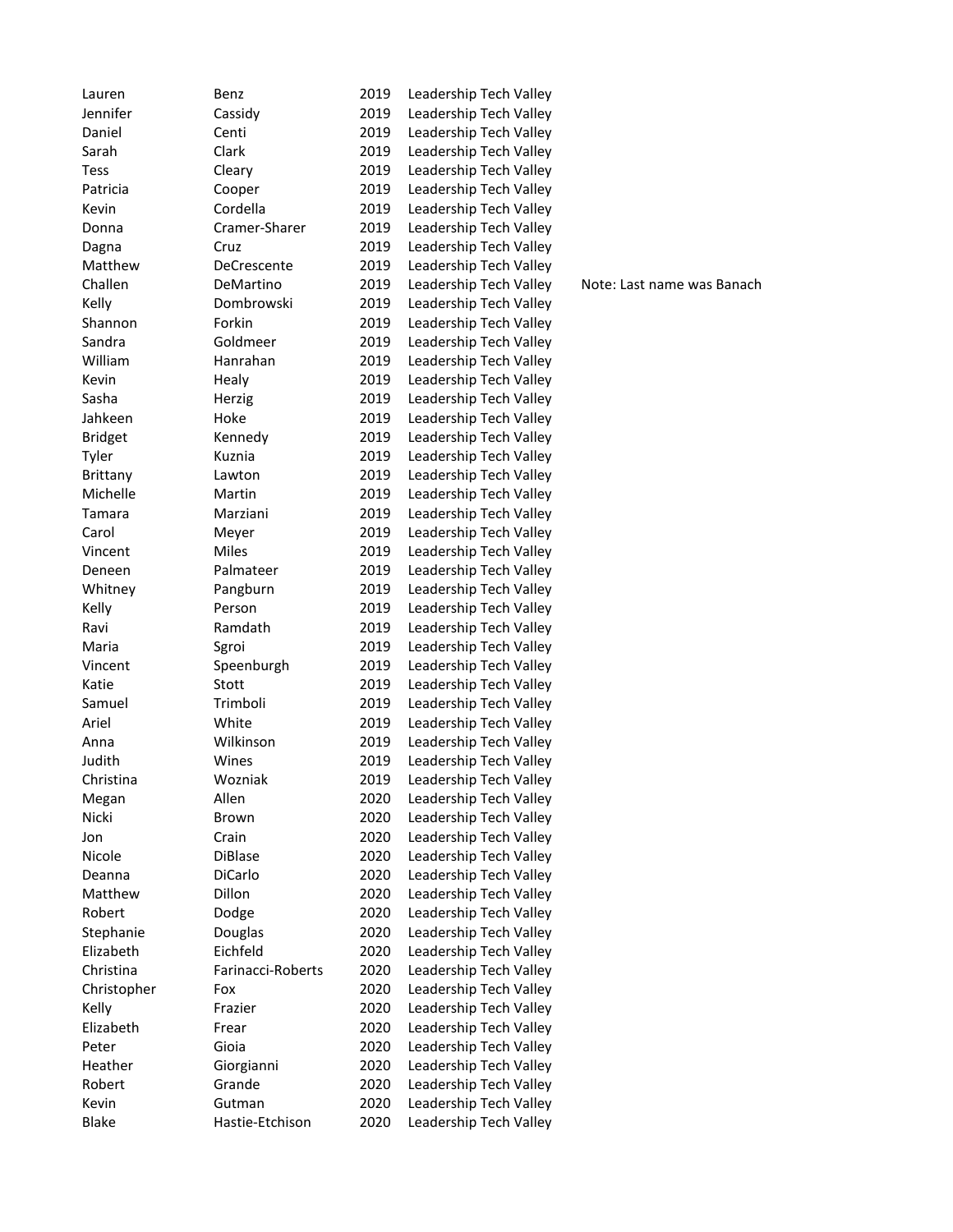| Lauren         | Benz                | 2019         | Leadership Tech Valley |                            |
|----------------|---------------------|--------------|------------------------|----------------------------|
| Jennifer       | Cassidy             | 2019         | Leadership Tech Valley |                            |
| Daniel         | Centi               | 2019         | Leadership Tech Valley |                            |
| Sarah          | Clark               | 2019         | Leadership Tech Valley |                            |
| Tess           | Cleary              | 2019         | Leadership Tech Valley |                            |
| Patricia       | Cooper              | 2019         | Leadership Tech Valley |                            |
| Kevin          | Cordella            | 2019         | Leadership Tech Valley |                            |
| Donna          | Cramer-Sharer       | 2019         | Leadership Tech Valley |                            |
| Dagna          | Cruz                | 2019         | Leadership Tech Valley |                            |
| Matthew        | DeCrescente         | 2019         | Leadership Tech Valley |                            |
| Challen        | DeMartino           | 2019         | Leadership Tech Valley | Note: Last name was Banach |
| Kelly          | Dombrowski          | 2019         | Leadership Tech Valley |                            |
| Shannon        | Forkin              | 2019         | Leadership Tech Valley |                            |
| Sandra         | Goldmeer            | 2019         | Leadership Tech Valley |                            |
| William        | Hanrahan            | 2019         | Leadership Tech Valley |                            |
| Kevin          | Healy               | 2019         | Leadership Tech Valley |                            |
| Sasha          | Herzig              | 2019         | Leadership Tech Valley |                            |
| Jahkeen        | Hoke                | 2019         | Leadership Tech Valley |                            |
| <b>Bridget</b> | Kennedy             | 2019         | Leadership Tech Valley |                            |
| Tyler          | Kuznia              | 2019         | Leadership Tech Valley |                            |
| Brittany       | Lawton              | 2019         | Leadership Tech Valley |                            |
| Michelle       | Martin              | 2019         | Leadership Tech Valley |                            |
| Tamara         | Marziani            | 2019         | Leadership Tech Valley |                            |
| Carol          | Meyer               | 2019         | Leadership Tech Valley |                            |
| Vincent        | Miles               | 2019         | Leadership Tech Valley |                            |
| Deneen         | Palmateer           | 2019         | Leadership Tech Valley |                            |
| Whitney        | Pangburn            | 2019         | Leadership Tech Valley |                            |
| Kelly          | Person              | 2019         | Leadership Tech Valley |                            |
| Ravi           | Ramdath             | 2019         | Leadership Tech Valley |                            |
| Maria          |                     | 2019         | Leadership Tech Valley |                            |
| Vincent        | Sgroi<br>Speenburgh | 2019         | Leadership Tech Valley |                            |
| Katie          | Stott               | 2019         | Leadership Tech Valley |                            |
|                | Trimboli            |              |                        |                            |
| Samuel         |                     | 2019         | Leadership Tech Valley |                            |
| Ariel          | White<br>Wilkinson  | 2019<br>2019 | Leadership Tech Valley |                            |
| Anna           |                     |              | Leadership Tech Valley |                            |
| Judith         | Wines               | 2019<br>2019 | Leadership Tech Valley |                            |
| Christina      | Wozniak             |              | Leadership Tech Valley |                            |
| Megan          | Allen               | 2020         | Leadership Tech Valley |                            |
| Nicki          | Brown               | 2020         | Leadership Tech Valley |                            |
| Jon            | Crain               | 2020         | Leadership Tech Valley |                            |
| Nicole         | DiBlase             | 2020         | Leadership Tech Valley |                            |
| Deanna         | DiCarlo             | 2020         | Leadership Tech Valley |                            |
| Matthew        | Dillon              | 2020         | Leadership Tech Valley |                            |
| Robert         | Dodge               | 2020         | Leadership Tech Valley |                            |
| Stephanie      | <b>Douglas</b>      | 2020         | Leadership Tech Valley |                            |
| Elizabeth      | Eichfeld            | 2020         | Leadership Tech Valley |                            |
| Christina      | Farinacci-Roberts   | 2020         | Leadership Tech Valley |                            |
| Christopher    | Fox                 | 2020         | Leadership Tech Valley |                            |
| Kelly          | Frazier             | 2020         | Leadership Tech Valley |                            |
| Elizabeth      | Frear               | 2020         | Leadership Tech Valley |                            |
| Peter          | Gioia               | 2020         | Leadership Tech Valley |                            |
| Heather        | Giorgianni          | 2020         | Leadership Tech Valley |                            |
| Robert         | Grande              | 2020         | Leadership Tech Valley |                            |
| Kevin          | Gutman              | 2020         | Leadership Tech Valley |                            |
| <b>Blake</b>   | Hastie-Etchison     | 2020         | Leadership Tech Valley |                            |